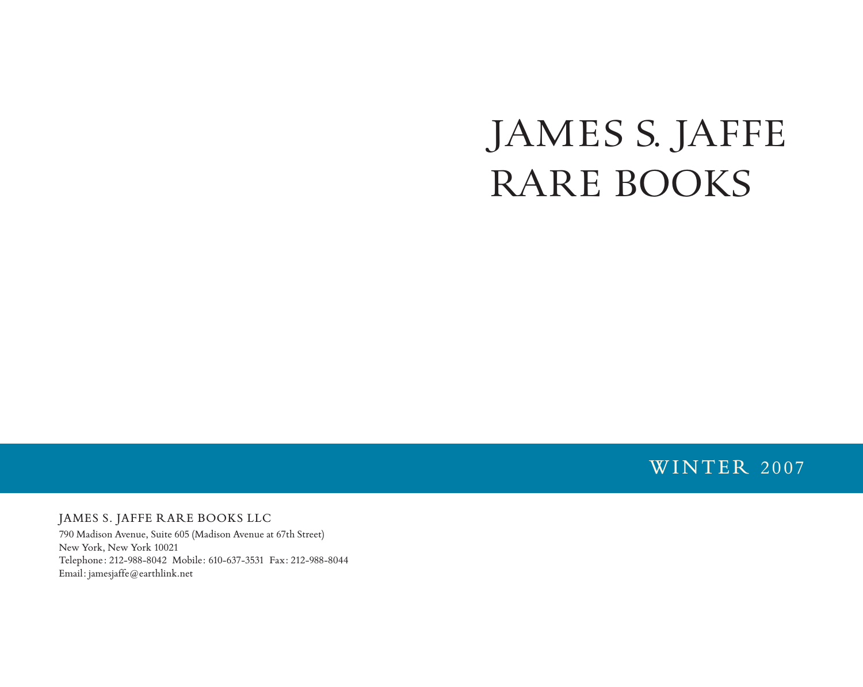# JAMES S. JAFFE RARE BOOKS

WINTER 2007

JAMES S. JAFFE RARE BOOKS LLC

790 Madison Avenue, Suite 605 (Madison Avenue at 67th Street) New York, New York 10021 Telephone: 212-988-8042 Mobile: 610-637-3531 Fax: 212-988-8044 Email: jamesjaffe@earthlink.net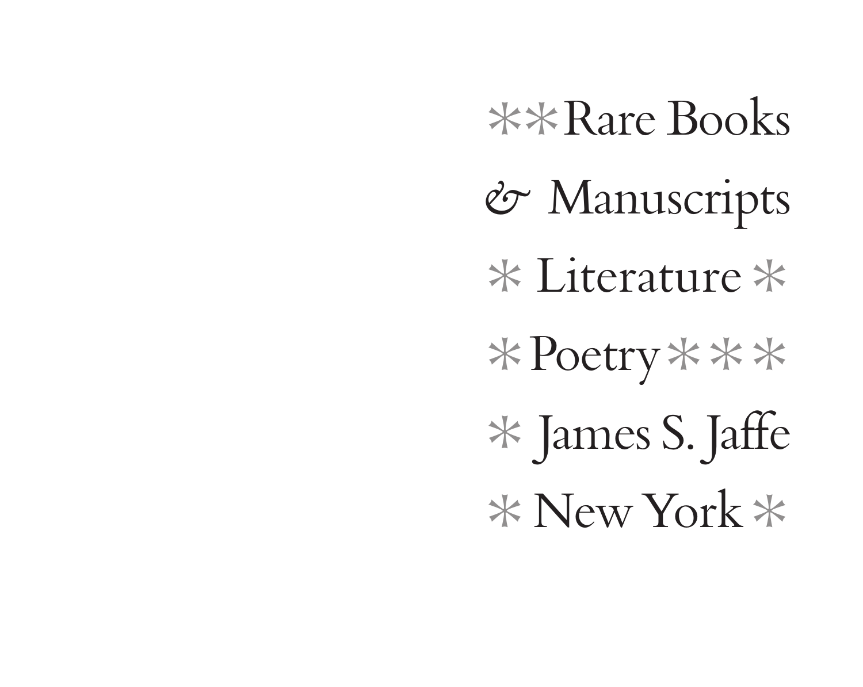\*\*Rare Books *&* Manuscripts  $*$  Literature  $*$ \*Poetry\*\*\* \*James S. Jaffe \*New York\*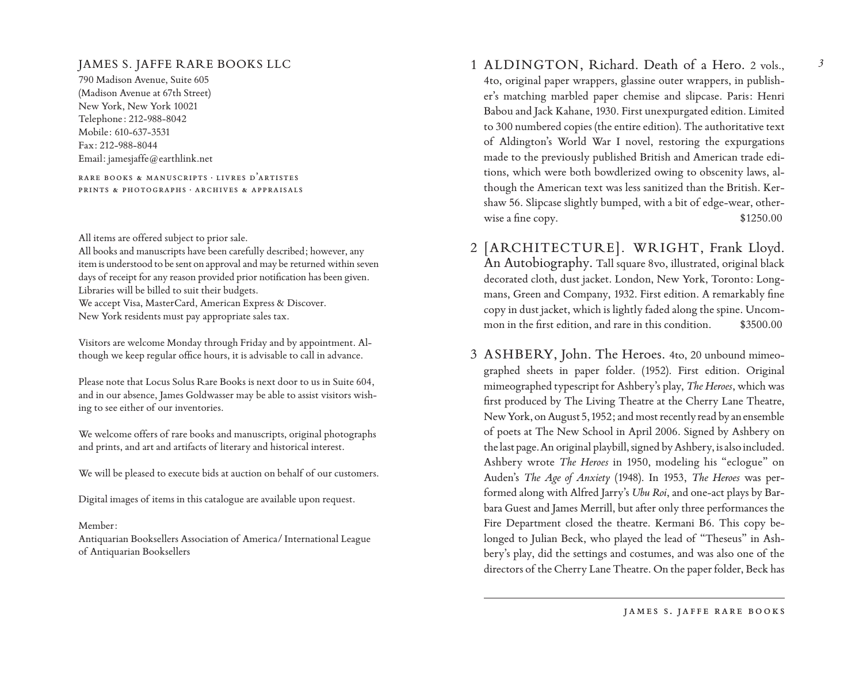# JAMES S. JAFFE RARE BOOKS LLC

790 Madison Avenue, Suite 605 (Madison Avenue at 67th Street) New York, New York 10021 Telephone: 212-988-8042 Mobile: 610-637-3531 Fax: 212-988-8044 Email: jamesjaffe@earthlink.net

rare books & manuscripts · livres d'artistes prints & photographs · archives & appraisals

All items are offered subject to prior sale.

All books and manuscripts have been carefully described; however, any item is understood to be sent on approval and may be returned within seven days of receipt for any reason provided prior notification has been given. Libraries will be billed to suit their budgets. We accept Visa, MasterCard, American Express & Discover. New York residents must pay appropriate sales tax.

Visitors are welcome Monday through Friday and by appointment. Although we keep regular office hours, it is advisable to call in advance.

Please note that Locus Solus Rare Books is next door to us in Suite 604, and in our absence, James Goldwasser may be able to assist visitors wishing to see either of our inventories.

We welcome offers of rare books and manuscripts, original photographs and prints, and art and artifacts of literary and historical interest.

We will be pleased to execute bids at auction on behalf of our customers.

Digital images of items in this catalogue are available upon request.

#### Member:

Antiquarian Booksellers Association of America/ International League of Antiquarian Booksellers

- 1 ALDINGTON, Richard. Death of a Hero. 2 vols., 4to, original paper wrappers, glassine outer wrappers, in publisher's matching marbled paper chemise and slipcase. Paris: Henri Babou and Jack Kahane, 1930. First unexpurgated edition. Limited to 300 numbered copies (the entire edition). The authoritative text of Aldington's World War I novel, restoring the expurgations made to the previously published British and American trade editions, which were both bowdlerized owing to obscenity laws, although the American text was less sanitized than the British. Kershaw 56. Slipcase slightly bumped, with a bit of edge-wear, otherwise a fine copy.  $$1250.00$
- 2 [ARCHITECTURE]. WRIGHT, Frank Lloyd. An Autobiography. Tall square 8vo, illustrated, original black decorated cloth, dust jacket. London, New York, Toronto: Longmans, Green and Company, 1932. First edition. A remarkably fine copy in dust jacket, which is lightly faded along the spine. Uncommon in the first edition, and rare in this condition. \$3500.00
- 3 ASHBERY, John. The Heroes. 4to, 20 unbound mimeographed sheets in paper folder. (1952). First edition. Original mimeographed typescript for Ashbery's play, *The Heroes*, which was first produced by The Living Theatre at the Cherry Lane Theatre, New York,on August 5,1952; and most recently read by an ensemble of poets at The New School in April 2006. Signed by Ashbery on the last page.An original playbill, signed by Ashbery, is also included. Ashbery wrote *The Heroes* in 1950, modeling his "eclogue" on Auden's *The Age of Anxiety* (1948). In 1953, *The Heroes* was performed along with Alfred Jarry's *Ubu Roi*, and one-act plays by Barbara Guest and James Merrill, but after only three performances the Fire Department closed the theatre. Kermani B6. This copy belonged to Julian Beck, who played the lead of "Theseus" in Ashbery's play, did the settings and costumes, and was also one of the directors of the Cherry Lane Theatre. On the paper folder, Beck has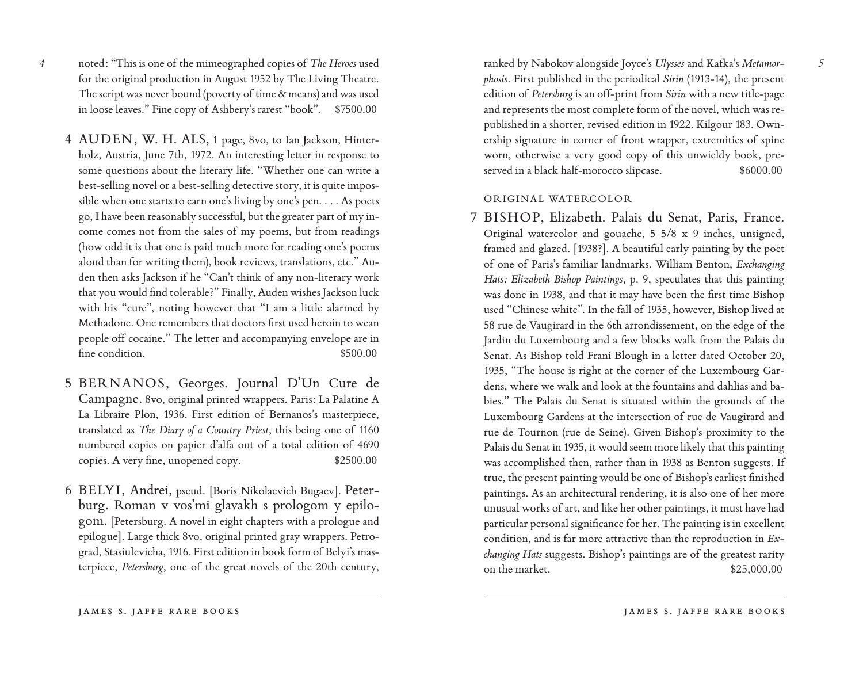noted: "This is one of the mimeographed copies of *The Heroes* used for the original production in August 1952 by The Living Theatre. The script was never bound (poverty of time & means) and was used in loose leaves." Fine copy of Ashbery's rarest "book". \$7500.00

*4*

- 4 AUDEN, W. H. ALS, 1 page, 8vo, to Ian Jackson, Hinterholz, Austria, June 7th, 1972. An interesting letter in response to some questions about the literary life. "Whether one can write a best-selling novel or a best-selling detective story, it is quite impossible when one starts to earn one's living by one's pen. . . . As poets go, I have been reasonably successful, but the greater part of my income comes not from the sales of my poems, but from readings (how odd it is that one is paid much more for reading one's poems aloud than for writing them), book reviews, translations, etc." Auden then asks Jackson if he "Can't think of any non-literary work that you would find tolerable?" Finally, Auden wishes Jackson luck with his "cure", noting however that "I am a little alarmed by Methadone. One remembers that doctors first used heroin to wean people off cocaine." The letter and accompanying envelope are in fine condition.  $$500.00$
- 5 BERNANOS, Georges. Journal D'Un Cure de Campagne. 8vo, original printed wrappers. Paris: La Palatine A La Libraire Plon, 1936. First edition of Bernanos's masterpiece, translated as *The Diary of a Country Priest*, this being one of 1160 numbered copies on papier d'alfa out of a total edition of 4690 copies. A very fine, unopened copy. \$2500.00
- 6 BELYI, Andrei, pseud. [Boris Nikolaevich Bugaev]. Peterburg. Roman v vos'mi glavakh s prologom y epilogom. [Petersburg. A novel in eight chapters with a prologue and epilogue]. Large thick 8vo, original printed gray wrappers. Petrograd, Stasiulevicha, 1916. First edition in book form of Belyi's masterpiece, *Petersburg*, one of the great novels of the 20th century,

ranked by Nabokov alongside Joyce's *Ulysses* and Kafka's *Metamorphosis*. First published in the periodical *Sirin* (1913-14), the present edition of *Petersburg*is an off-print from *Sirin* with a new title-page and represents the most complete form of the novel, which was republished in a shorter, revised edition in 1922. Kilgour 183. Ownership signature in corner of front wrapper, extremities of spine worn, otherwise a very good copy of this unwieldy book, preserved in a black half-morocco slipcase. \$6000.00

#### ORIGINAL WATERCOLOR

7 BISHOP, Elizabeth. Palais du Senat, Paris, France. Original watercolor and gouache, 5 5/8 x 9 inches, unsigned, framed and glazed. [1938?]. A beautiful early painting by the poet of one of Paris's familiar landmarks. William Benton, *Exchanging Hats: Elizabeth Bishop Paintings*, p. 9, speculates that this painting was done in 1938, and that it may have been the first time Bishop used "Chinese white". In the fall of 1935, however, Bishop lived at 58 rue de Vaugirard in the 6th arrondissement, on the edge of the Jardin du Luxembourg and a few blocks walk from the Palais du Senat. As Bishop told Frani Blough in a letter dated October 20, 1935, "The house is right at the corner of the Luxembourg Gardens, where we walk and look at the fountains and dahlias and babies." The Palais du Senat is situated within the grounds of the Luxembourg Gardens at the intersection of rue de Vaugirard and rue de Tournon (rue de Seine). Given Bishop's proximity to the Palais du Senat in 1935, it would seem more likely that this painting was accomplished then, rather than in 1938 as Benton suggests. If true, the present painting would be one of Bishop's earliest finished paintings. As an architectural rendering, it is also one of her more unusual works of art, and like her other paintings, it must have had particular personal significance for her. The painting is in excellent condition, and is far more attractive than the reproduction in *Exchanging Hats* suggests. Bishop's paintings are of the greatest rarity on the market.  $$25,000.00$ 

*5*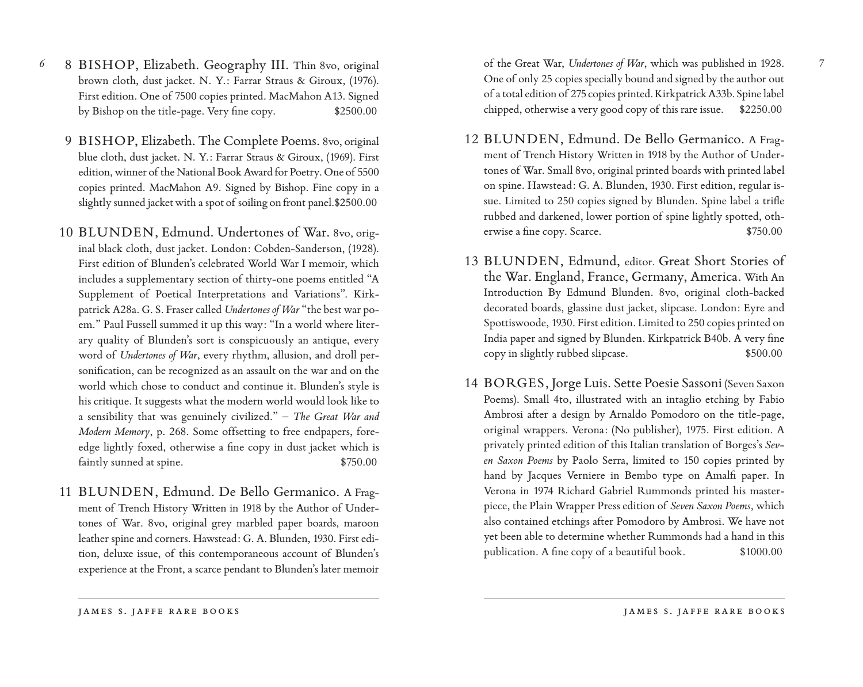- *6* 8 BISHOP, Elizabeth. Geography III. Thin 8vo, original brown cloth, dust jacket. N. Y.: Farrar Straus & Giroux, (1976). First edition. One of 7500 copies printed. MacMahon A13. Signed by Bishop on the title-page. Very fine copy. \$2500.00
	- 9 BISHOP, Elizabeth. The Complete Poems. 8vo, original blue cloth, dust jacket. N. Y.: Farrar Straus & Giroux, (1969). First edition, winner of the National Book Award for Poetry. One of 5500 copies printed. MacMahon A9. Signed by Bishop. Fine copy in a slightly sunned jacket with a spot of soiling on front panel.\$2500.00
	- 10 BLUNDEN, Edmund. Undertones of War. 8vo, original black cloth, dust jacket. London: Cobden-Sanderson, (1928). First edition of Blunden's celebrated World War I memoir, which includes a supplementary section of thirty-one poems entitled "A Supplement of Poetical Interpretations and Variations". Kirkpatrick A28a. G. S. Fraser called *Undertones of War* "the best war poem." Paul Fussell summed it up this way: "In a world where literary quality of Blunden's sort is conspicuously an antique, every word of *Undertones of War*, every rhythm, allusion, and droll personification, can be recognized as an assault on the war and on the world which chose to conduct and continue it. Blunden's style is his critique. It suggests what the modern world would look like to a sensibility that was genuinely civilized." – *The Great War and Modern Memory*, p. 268. Some offsetting to free endpapers, foreedge lightly foxed, otherwise a fine copy in dust jacket which is faintly sunned at spine.  $$750.00$
	- 11 BLUNDEN, Edmund. De Bello Germanico. A Fragment of Trench History Written in 1918 by the Author of Undertones of War. 8vo, original grey marbled paper boards, maroon leather spine and corners. Hawstead: G. A. Blunden, 1930. First edition, deluxe issue, of this contemporaneous account of Blunden's experience at the Front, a scarce pendant to Blunden's later memoir

of the Great War, *Undertones of War*, which was published in 1928. One of only 25 copies specially bound and signed by the author out of a total edition of 275 copies printed. Kirkpatrick A33b. Spine label chipped, otherwise a very good copy of this rare issue. \$2250.00

- 12 BLUNDEN, Edmund. De Bello Germanico. A Fragment of Trench History Written in 1918 by the Author of Undertones of War. Small 8vo, original printed boards with printed label on spine. Hawstead: G. A. Blunden, 1930. First edition, regular issue. Limited to 250 copies signed by Blunden. Spine label a trifle rubbed and darkened, lower portion of spine lightly spotted, otherwise a fine copy. Scarce.  $$750.00$
- 13 BLUNDEN, Edmund, editor. Great Short Stories of the War. England, France, Germany, America. With An Introduction By Edmund Blunden. 8vo, original cloth-backed decorated boards, glassine dust jacket, slipcase. London: Eyre and Spottiswoode, 1930. First edition. Limited to 250 copies printed on India paper and signed by Blunden. Kirkpatrick B40b. A very fine copy in slightly rubbed slipcase. \$500.00
- 14 BORGES, Jorge Luis. Sette Poesie Sassoni (Seven Saxon Poems). Small 4to, illustrated with an intaglio etching by Fabio Ambrosi after a design by Arnaldo Pomodoro on the title-page, original wrappers. Verona: (No publisher), 1975. First edition. A privately printed edition of this Italian translation of Borges's *Seven Saxon Poems* by Paolo Serra, limited to 150 copies printed by hand by Jacques Verniere in Bembo type on Amalfi paper. In Verona in 1974 Richard Gabriel Rummonds printed his masterpiece, the Plain Wrapper Press edition of *Seven Saxon Poems*, which also contained etchings after Pomodoro by Ambrosi. We have not yet been able to determine whether Rummonds had a hand in this publication. A fine copy of a beautiful book.  $$1000.00$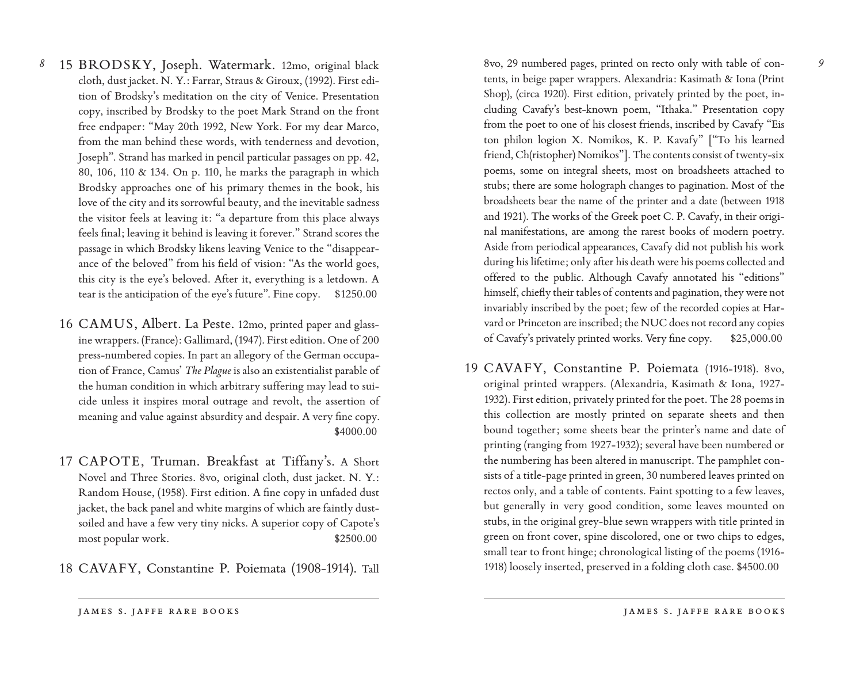- *8* 15 BRODSKY, Joseph. Watermark. 12mo, original black cloth, dust jacket. N. Y.: Farrar, Straus & Giroux, (1992). First edition of Brodsky's meditation on the city of Venice. Presentation copy, inscribed by Brodsky to the poet Mark Strand on the front free endpaper: "May 20th 1992, New York. For my dear Marco, from the man behind these words, with tenderness and devotion, Joseph". Strand has marked in pencil particular passages on pp. 42, 80, 106, 110 & 134. On p. 110, he marks the paragraph in which Brodsky approaches one of his primary themes in the book, his love of the city and its sorrowful beauty, and the inevitable sadness the visitor feels at leaving it: "a departure from this place always feels final; leaving it behind is leaving it forever." Strand scores the passage in which Brodsky likens leaving Venice to the "disappearance of the beloved" from his field of vision: "As the world goes, this city is the eye's beloved. After it, everything is a letdown. A tear is the anticipation of the eye's future". Fine copy. \$1250.00
	- 16 CAMUS, Albert. La Peste. 12mo, printed paper and glassine wrappers. (France): Gallimard, (1947). First edition. One of 200 press-numbered copies. In part an allegory of the German occupation of France, Camus' *The Plague* is also an existentialist parable of the human condition in which arbitrary suffering may lead to suicide unless it inspires moral outrage and revolt, the assertion of meaning and value against absurdity and despair. A very fine copy. \$4000.00
	- 17 CAPOTE, Truman. Breakfast at Tiffany's. A Short Novel and Three Stories. 8vo, original cloth, dust jacket. N. Y.: Random House, (1958). First edition. A fine copy in unfaded dust jacket, the back panel and white margins of which are faintly dustsoiled and have a few very tiny nicks. A superior copy of Capote's most popular work.  $$2500.00$
	- 18 CAVAFY, Constantine P. Poiemata (1908-1914). Tall
- during his lifetime; only after his death were his poems collected and offered to the public. Although Cavafy annotated his "editions" himself, chiefly their tables of contents and pagination, they were not invariably inscribed by the poet; few of the recorded copies at Harvard or Princeton are inscribed; the NUC does not record any copies of Cavafy's privately printed works. Very fine copy. \$25,000.00
- 19 CAVAFY, Constantine P. Poiemata (1916-1918). 8vo, original printed wrappers. (Alexandria, Kasimath & Iona, 1927- 1932). First edition, privately printed for the poet. The 28 poems in this collection are mostly printed on separate sheets and then bound together; some sheets bear the printer's name and date of printing (ranging from 1927-1932); several have been numbered or the numbering has been altered in manuscript. The pamphlet consists of a title-page printed in green, 30 numbered leaves printed on rectos only, and a table of contents. Faint spotting to a few leaves, but generally in very good condition, some leaves mounted on stubs, in the original grey-blue sewn wrappers with title printed in green on front cover, spine discolored, one or two chips to edges, small tear to front hinge; chronological listing of the poems (1916- 1918) loosely inserted, preserved in a folding cloth case. \$4500.00

<sup>8</sup>vo, 29 numbered pages, printed on recto only with table of contents, in beige paper wrappers. Alexandria: Kasimath & Iona (Print Shop), (circa 1920). First edition, privately printed by the poet, including Cavafy's best-known poem, "Ithaka." Presentation copy from the poet to one of his closest friends, inscribed by Cavafy "Eis ton philon logion X. Nomikos, K. P. Kavafy" ["To his learned friend, Ch(ristopher) Nomikos"]. The contents consist of twenty-six poems, some on integral sheets, most on broadsheets attached to stubs; there are some holograph changes to pagination. Most of the broadsheets bear the name of the printer and a date (between 1918 and 1921). The works of the Greek poet C. P. Cavafy, in their original manifestations, are among the rarest books of modern poetry. Aside from periodical appearances, Cavafy did not publish his work

james s. jaffe rare books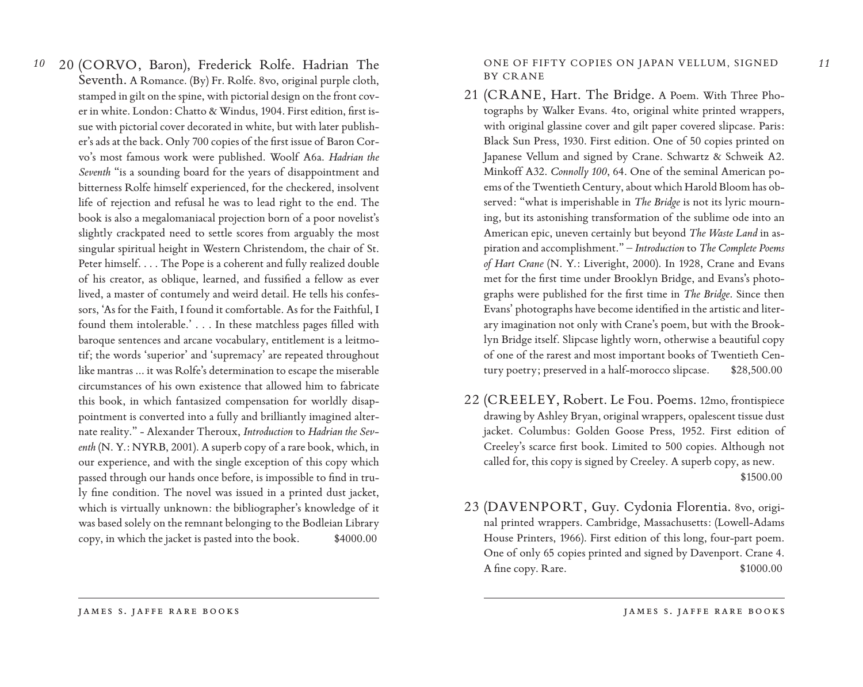*10* 20 (CORVO, Baron), Frederick Rolfe. Hadrian The Seventh. A Romance. (By) Fr. Rolfe. 8vo, original purple cloth, stamped in gilt on the spine, with pictorial design on the front cover in white. London: Chatto & Windus, 1904. First edition, first issue with pictorial cover decorated in white, but with later publisher's ads at the back. Only 700 copies of the first issue of Baron Corvo's most famous work were published. Woolf A6a. *Hadrian the Seventh* "is a sounding board for the years of disappointment and bitterness Rolfe himself experienced, for the checkered, insolvent life of rejection and refusal he was to lead right to the end. The book is also a megalomaniacal projection born of a poor novelist's slightly crackpated need to settle scores from arguably the most singular spiritual height in Western Christendom, the chair of St. Peter himself. . . . The Pope is a coherent and fully realized double of his creator, as oblique, learned, and fussified a fellow as ever lived, a master of contumely and weird detail. He tells his confessors, 'As for the Faith, I found it comfortable. As for the Faithful, I found them intolerable.' . . . In these matchless pages filled with baroque sentences and arcane vocabulary, entitlement is a leitmotif; the words 'superior' and 'supremacy' are repeated throughout like mantras ... it was Rolfe's determination to escape the miserable circumstances of his own existence that allowed him to fabricate this book, in which fantasized compensation for worldly disappointment is converted into a fully and brilliantly imagined alternate reality." - Alexander Theroux, *Introduction* to *Hadrian the Seventh* (N. Y.: NYRB, 2001). A superb copy of a rare book, which, in our experience, and with the single exception of this copy which passed through our hands once before, is impossible to find in truly fine condition. The novel was issued in a printed dust jacket, which is virtually unknown: the bibliographer's knowledge of it was based solely on the remnant belonging to the Bodleian Library copy, in which the jacket is pasted into the book. \$4000.00

ONE OF FIFTY COPIES ON JAPAN VELLUM, SIGNED BY CRANE

- 21 (CRANE, Hart. The Bridge. A Poem. With Three Photographs by Walker Evans. 4to, original white printed wrappers, with original glassine cover and gilt paper covered slipcase. Paris: Black Sun Press, 1930. First edition. One of 50 copies printed on Japanese Vellum and signed by Crane. Schwartz & Schweik A2. Minkoff A32. *Connolly 100*, 64. One of the seminal American poems of the Twentieth Century, about which Harold Bloom has observed: "what is imperishable in *The Bridge* is not its lyric mourning, but its astonishing transformation of the sublime ode into an American epic, uneven certainly but beyond *The Waste Land* in aspiration and accomplishment." – *Introduction* to *The Complete Poems of Hart Crane* (N. Y.: Liveright, 2000). In 1928, Crane and Evans met for the first time under Brooklyn Bridge, and Evans's photographs were published for the first time in *The Bridge*. Since then Evans' photographs have become identified in the artistic and literary imagination not only with Crane's poem, but with the Brooklyn Bridge itself. Slipcase lightly worn, otherwise a beautiful copy of one of the rarest and most important books of Twentieth Century poetry; preserved in a half-morocco slipcase. \$28,500.00
- 22 (CREELEY, Robert. Le Fou. Poems. 12mo, frontispiece drawing by Ashley Bryan, original wrappers, opalescent tissue dust jacket. Columbus: Golden Goose Press, 1952. First edition of Creeley's scarce first book. Limited to 500 copies. Although not called for, this copy is signed by Creeley. A superb copy, as new. \$1500.00
- 23 (DAVENPORT, Guy. Cydonia Florentia. 8vo, original printed wrappers. Cambridge, Massachusetts: (Lowell-Adams House Printers, 1966). First edition of this long, four-part poem. One of only 65 copies printed and signed by Davenport. Crane 4. A fine copy. Rare.  $$1000.00$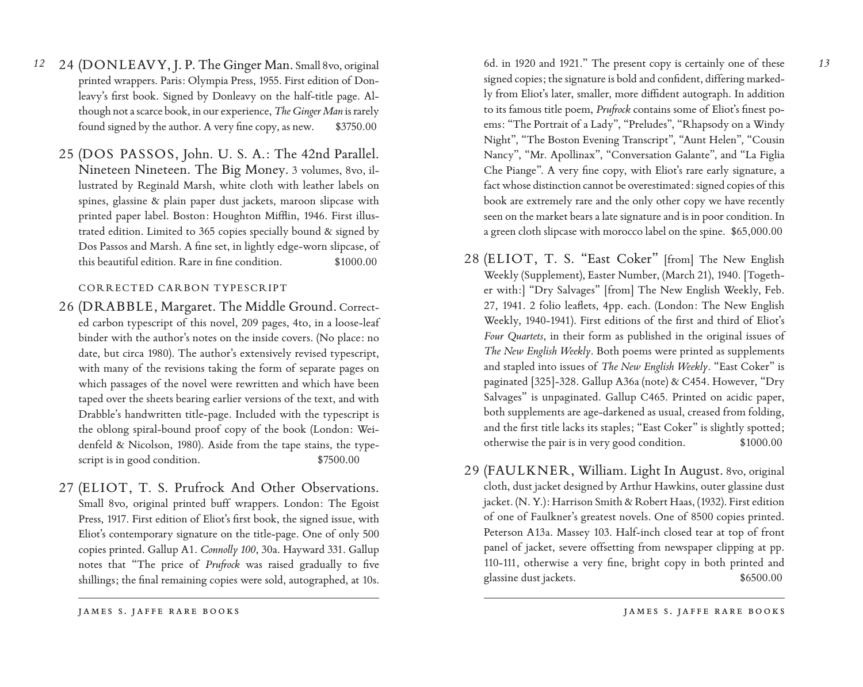- *12* 24 (DONLEAVY, J. P. The Ginger Man. Small 8vo, original printed wrappers. Paris: Olympia Press, 1955. First edition of Donleavy's first book. Signed by Donleavy on the half-title page. Although not a scarce book, in our experience, *The Ginger Man* is rarely found signed by the author. A very fine copy, as new. \$3750.00
	- 25 (DOS PASSOS, John. U. S. A.: The 42nd Parallel. Nineteen Nineteen. The Big Money. 3 volumes, 8vo, illustrated by Reginald Marsh, white cloth with leather labels on spines, glassine & plain paper dust jackets, maroon slipcase with printed paper label. Boston: Houghton Mifflin, 1946. First illustrated edition. Limited to 365 copies specially bound & signed by Dos Passos and Marsh. A fine set, in lightly edge-worn slipcase, of this beautiful edition. Rare in fine condition.  $$1000.00$

## CORRECTED CARBON TYPESCRIPT

- 26 (DRABBLE, Margaret. The Middle Ground. Corrected carbon typescript of this novel, 209 pages, 4to, in a loose-leaf binder with the author's notes on the inside covers. (No place: no date, but circa 1980). The author's extensively revised typescript, with many of the revisions taking the form of separate pages on which passages of the novel were rewritten and which have been taped over the sheets bearing earlier versions of the text, and with Drabble's handwritten title-page. Included with the typescript is the oblong spiral-bound proof copy of the book (London: Weidenfeld & Nicolson, 1980). Aside from the tape stains, the typescript is in good condition.  $$7500.00$
- 27 (ELIOT, T. S. Prufrock And Other Observations. Small 8vo, original printed buff wrappers. London: The Egoist Press, 1917. First edition of Eliot's first book, the signed issue, with Eliot's contemporary signature on the title-page. One of only 500 copies printed. Gallup A1. *Connolly 100*, 30a. Hayward 331. Gallup notes that "The price of *Prufrock* was raised gradually to five shillings; the final remaining copies were sold, autographed, at 10s.

james s. jaffe rare books

6d. in 1920 and 1921." The present copy is certainly one of these signed copies; the signature is bold and confident, differing markedly from Eliot's later, smaller, more diffident autograph. In addition to its famous title poem, *Prufrock* contains some of Eliot's finest poems: "The Portrait of a Lady", "Preludes", "Rhapsody on a Windy Night", "The Boston Evening Transcript", "Aunt Helen", "Cousin Nancy", "Mr. Apollinax", "Conversation Galante", and "La Figlia Che Piange". A very fine copy, with Eliot's rare early signature, a fact whose distinction cannot be overestimated: signed copies of this book are extremely rare and the only other copy we have recently seen on the market bears a late signature and is in poor condition. In a green cloth slipcase with morocco label on the spine. \$65,000.00

- 28 (ELIOT, T. S. "East Coker" [from] The New English Weekly (Supplement), Easter Number, (March 21), 1940. [Together with:] "Dry Salvages" [from] The New English Weekly, Feb. 27, 1941. 2 folio leaflets, 4pp. each. (London: The New English Weekly, 1940-1941). First editions of the first and third of Eliot's *Four Quartets*, in their form as published in the original issues of *The New English Weekly*. Both poems were printed as supplements and stapled into issues of *The New English Weekly*. "East Coker" is paginated [325]-328. Gallup A36a (note) & C454. However, "Dry Salvages" is unpaginated. Gallup C465. Printed on acidic paper, both supplements are age-darkened as usual, creased from folding, and the first title lacks its staples; "East Coker" is slightly spotted; otherwise the pair is in very good condition. \$1000.00
- 29 (FAULKNER, William. Light In August. 8vo, original cloth, dust jacket designed by Arthur Hawkins, outer glassine dust jacket. (N. Y.): Harrison Smith & Robert Haas, (1932). First edition of one of Faulkner's greatest novels. One of 8500 copies printed. Peterson A13a. Massey 103. Half-inch closed tear at top of front panel of jacket, severe offsetting from newspaper clipping at pp. 110-111, otherwise a very fine, bright copy in both printed and glassine dust jackets.  $$6500.00$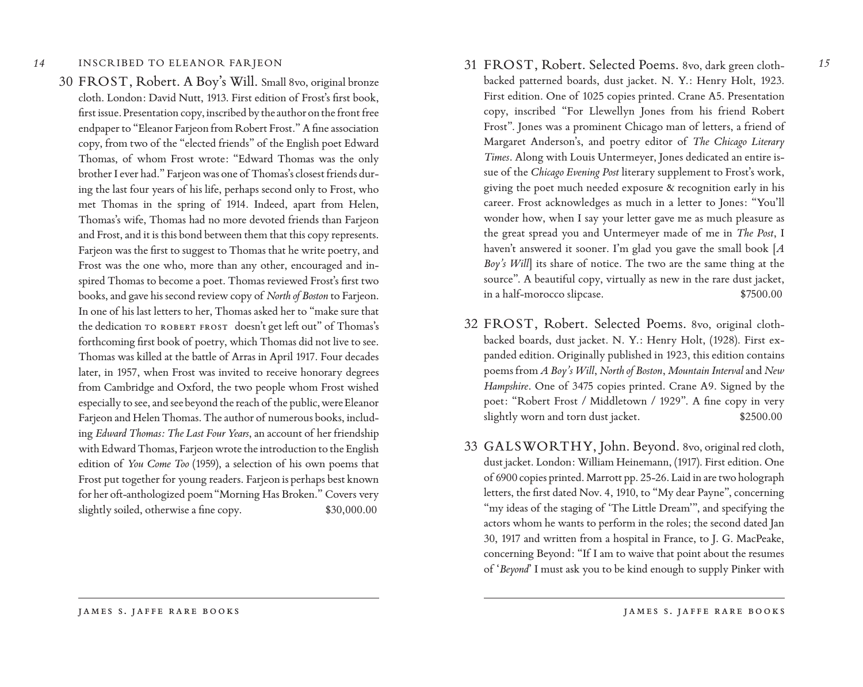#### INSCRIBED TO ELEANOR FARJEON

30 FROST, Robert. A Boy's Will. Small 8vo, original bronze cloth. London: David Nutt, 1913. First edition of Frost's first book, first issue. Presentation copy, inscribed by the author on the front free endpaper to "Eleanor Farjeon from Robert Frost." A fine association copy, from two of the "elected friends" of the English poet Edward Thomas, of whom Frost wrote: "Edward Thomas was the only brother I ever had." Farjeon was one of Thomas's closest friends during the last four years of his life, perhaps second only to Frost, who met Thomas in the spring of 1914. Indeed, apart from Helen, Thomas's wife, Thomas had no more devoted friends than Farjeon and Frost, and it is this bond between them that this copy represents. Farjeon was the first to suggest to Thomas that he write poetry, and Frost was the one who, more than any other, encouraged and inspired Thomas to become a poet. Thomas reviewed Frost's first two books, and gave his second review copy of *North of Boston* to Farjeon. In one of his last letters to her, Thomas asked her to "make sure that the dedication TO ROBERT FROST doesn't get left out" of Thomas's forthcoming first book of poetry, which Thomas did not live to see. Thomas was killed at the battle of Arras in April 1917. Four decades later, in 1957, when Frost was invited to receive honorary degrees from Cambridge and Oxford, the two people whom Frost wished especially to see, and see beyond the reach of the public, were Eleanor Farjeon and Helen Thomas. The author of numerous books, including *Edward Thomas: The Last Four Years*, an account of her friendship with Edward Thomas, Farjeon wrote the introduction to the English edition of *You Come Too* (1959), a selection of his own poems that Frost put together for young readers. Farjeon is perhaps best known for her oft-anthologized poem"Morning Has Broken." Covers very slightly soiled, otherwise a fine copy.  $$30,000.00$ 

- 31 FROST, Robert. Selected Poems. 8vo, dark green clothbacked patterned boards, dust jacket. N. Y.: Henry Holt, 1923. First edition. One of 1025 copies printed. Crane A5. Presentation copy, inscribed "For Llewellyn Jones from his friend Robert Frost". Jones was a prominent Chicago man of letters, a friend of Margaret Anderson's, and poetry editor of *The Chicago Literary Times*. Along with Louis Untermeyer, Jones dedicated an entire issue of the *Chicago Evening Post* literary supplement to Frost's work, giving the poet much needed exposure & recognition early in his career. Frost acknowledges as much in a letter to Jones: "You'll wonder how, when I say your letter gave me as much pleasure as the great spread you and Untermeyer made of me in *The Post*, I haven't answered it sooner. I'm glad you gave the small book [*A Boy's Will*] its share of notice. The two are the same thing at the source". A beautiful copy, virtually as new in the rare dust jacket, in a half-morocco slipcase. \$7500.00
- 32 FROST, Robert. Selected Poems. 8vo, original clothbacked boards, dust jacket. N. Y.: Henry Holt, (1928). First expanded edition. Originally published in 1923, this edition contains poems from *A Boy's Will*, *North of Boston*, *Mountain Interval*and *New Hampshire*. One of 3475 copies printed. Crane A9. Signed by the poet: "Robert Frost / Middletown / 1929". A fine copy in very slightly worn and torn dust jacket.  $$2500.00$
- 33 GALSWORTHY, John. Beyond. 8vo, original red cloth, dust jacket. London: William Heinemann, (1917). First edition. One of 6900 copies printed. Marrott pp. 25-26. Laid in are two holograph letters, the first dated Nov. 4, 1910, to "My dear Payne", concerning "my ideas of the staging of 'The Little Dream'", and specifying the actors whom he wants to perform in the roles; the second dated Jan 30, 1917 and written from a hospital in France, to J. G. MacPeake, concerning Beyond: "If I am to waive that point about the resumes of '*Beyond*' I must ask you to be kind enough to supply Pinker with

*15*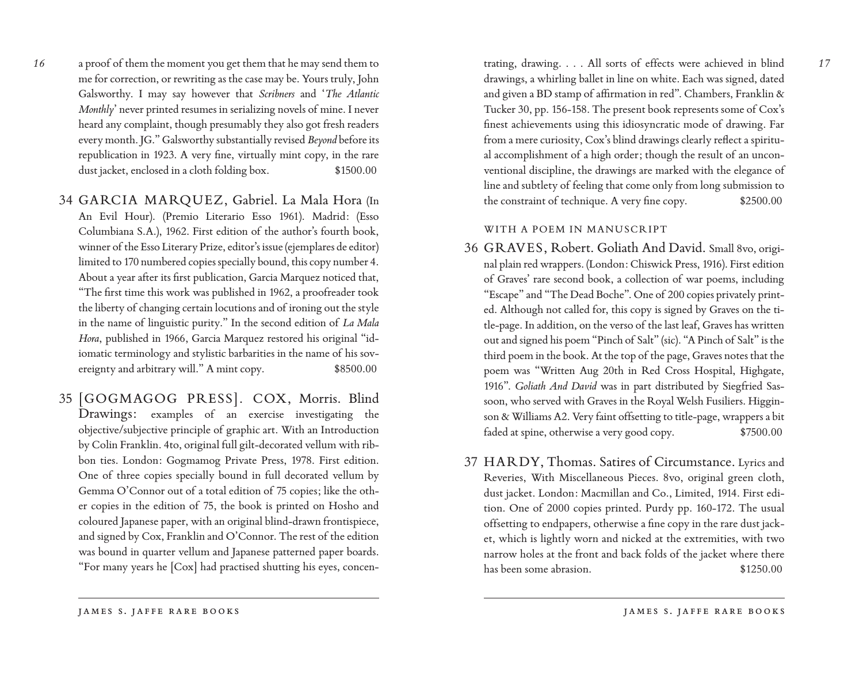*16*

a proof of them the moment you get them that he may send them to me for correction, or rewriting as the case may be. Yours truly, John Galsworthy. I may say however that *Scribners* and '*The Atlantic Monthly*' never printed resumes in serializing novels of mine. I never heard any complaint, though presumably they also got fresh readers every month. JG." Galsworthy substantially revised *Beyond* before its republication in 1923. A very fine, virtually mint copy, in the rare dust jacket, enclosed in a cloth folding box.  $$1500.00$ 

- 34 GARCIA MARQUEZ, Gabriel. La Mala Hora (In An Evil Hour). (Premio Literario Esso 1961). Madrid: (Esso Columbiana S.A.), 1962. First edition of the author's fourth book, winner of the Esso Literary Prize, editor's issue (ejemplares de editor) limited to 170 numbered copies specially bound, this copy number 4. About a year after its first publication, Garcia Marquez noticed that, "The first time this work was published in 1962, a proofreader took the liberty of changing certain locutions and of ironing out the style in the name of linguistic purity." In the second edition of *La Mala Hora*, published in 1966, Garcia Marquez restored his original "idiomatic terminology and stylistic barbarities in the name of his sovereignty and arbitrary will." A mint copy.  $$8500.00$
- 35 [GOGMAGOG PRESS]. COX, Morris. Blind Drawings: examples of an exercise investigating the objective/subjective principle of graphic art. With an Introduction by Colin Franklin. 4to, original full gilt-decorated vellum with ribbon ties. London: Gogmamog Private Press, 1978. First edition. One of three copies specially bound in full decorated vellum by Gemma O'Connor out of a total edition of 75 copies; like the other copies in the edition of 75, the book is printed on Hosho and coloured Japanese paper, with an original blind-drawn frontispiece, and signed by Cox, Franklin and O'Connor. The rest of the edition was bound in quarter vellum and Japanese patterned paper boards. "For many years he [Cox] had practised shutting his eyes, concen-

trating, drawing. . . . All sorts of effects were achieved in blind drawings, a whirling ballet in line on white. Each was signed, dated and given a BD stamp of affirmation in red". Chambers, Franklin & Tucker 30, pp. 156-158. The present book represents some of Cox's finest achievements using this idiosyncratic mode of drawing. Far from a mere curiosity, Cox's blind drawings clearly reflect a spiritual accomplishment of a high order; though the result of an unconventional discipline, the drawings are marked with the elegance of line and subtlety of feeling that come only from long submission to the constraint of technique. A very fine copy.  $$2500.00$ 

## WITH A POEM IN MANUSCRIPT

- 36 GRAVES, Robert. Goliath And David. Small 8vo, original plain red wrappers. (London: Chiswick Press, 1916). First edition of Graves' rare second book, a collection of war poems, including "Escape" and "The Dead Boche". One of 200 copies privately printed. Although not called for, this copy is signed by Graves on the title-page. In addition, on the verso of the last leaf, Graves has written out and signed his poem "Pinch of Salt" (sic). "A Pinch of Salt" is the third poem in the book. At the top of the page, Graves notes that the poem was "Written Aug 20th in Red Cross Hospital, Highgate, 1916". *Goliath And David* was in part distributed by Siegfried Sassoon, who served with Graves in the Royal Welsh Fusiliers. Higginson & Williams A2. Very faint offsetting to title-page, wrappers a bit faded at spine, otherwise a very good copy.  $$7500.00$
- 37 HARDY, Thomas. Satires of Circumstance. Lyrics and Reveries, With Miscellaneous Pieces. 8vo, original green cloth, dust jacket. London: Macmillan and Co., Limited, 1914. First edition. One of 2000 copies printed. Purdy pp. 160-172. The usual offsetting to endpapers, otherwise a fine copy in the rare dust jacket, which is lightly worn and nicked at the extremities, with two narrow holes at the front and back folds of the jacket where there has been some abrasion.  $$1250.00$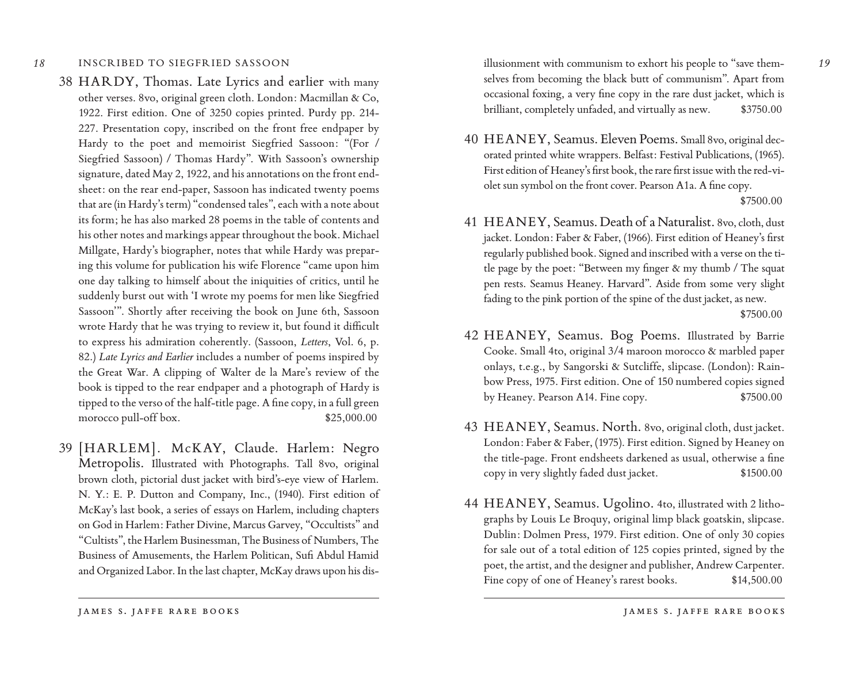#### INSCRIBED TO SIEGFRIED SASSOON

38 HARDY, Thomas. Late Lyrics and earlier with many other verses. 8vo, original green cloth. London: Macmillan & Co, 1922. First edition. One of 3250 copies printed. Purdy pp. 214- 227. Presentation copy, inscribed on the front free endpaper by Hardy to the poet and memoirist Siegfried Sassoon: "(For / Siegfried Sassoon) / Thomas Hardy". With Sassoon's ownership signature, dated May 2, 1922, and his annotations on the front endsheet: on the rear end-paper, Sassoon has indicated twenty poems that are (in Hardy's term) "condensed tales", each with a note about its form; he has also marked 28 poems in the table of contents and his other notes and markings appear throughout the book. Michael Millgate, Hardy's biographer, notes that while Hardy was preparing this volume for publication his wife Florence "came upon him one day talking to himself about the iniquities of critics, until he suddenly burst out with 'I wrote my poems for men like Siegfried Sassoon'". Shortly after receiving the book on June 6th, Sassoon wrote Hardy that he was trying to review it, but found it difficult to express his admiration coherently. (Sassoon, *Letters*, Vol. 6, p. 82.) *Late Lyrics and Earlier* includes a number of poems inspired by the Great War. A clipping of Walter de la Mare's review of the book is tipped to the rear endpaper and a photograph of Hardy is tipped to the verso of the half-title page. A fine copy, in a full green morocco pull-off box.  $$25,000.00$ 

39 [HARLEM]. McKAY, Claude. Harlem: Negro Metropolis. Illustrated with Photographs. Tall 8vo, original brown cloth, pictorial dust jacket with bird's-eye view of Harlem. N. Y.: E. P. Dutton and Company, Inc., (1940). First edition of McKay's last book, a series of essays on Harlem, including chapters on God in Harlem: Father Divine, Marcus Garvey, "Occultists" and "Cultists", the Harlem Businessman, The Business of Numbers, The Business of Amusements, the Harlem Politican, Sufi Abdul Hamid and Organized Labor. In the last chapter, McKay draws upon his disillusionment with communism to exhort his people to "save themselves from becoming the black butt of communism". Apart from occasional foxing, a very fine copy in the rare dust jacket, which is brilliant, completely unfaded, and virtually as new. \$3750.00

40 HEANEY, Seamus. Eleven Poems. Small 8vo, original decorated printed white wrappers. Belfast: Festival Publications, (1965). First edition of Heaney's first book, the rare first issue with the red-violet sun symbol on the front cover. Pearson A1a. A fine copy.

\$7500.00

41 HEANEY, Seamus. Death of a Naturalist. 8vo, cloth, dust jacket. London: Faber & Faber, (1966). First edition of Heaney's first regularly published book. Signed and inscribed with a verse on the title page by the poet: "Between my finger & my thumb / The squat pen rests. Seamus Heaney. Harvard". Aside from some very slight fading to the pink portion of the spine of the dust jacket, as new.

\$7500.00

- 42 HEANEY, Seamus. Bog Poems. Illustrated by Barrie Cooke. Small 4to, original 3/4 maroon morocco & marbled paper onlays, t.e.g., by Sangorski & Sutcliffe, slipcase. (London): Rainbow Press, 1975. First edition. One of 150 numbered copies signed by Heaney. Pearson A14. Fine copy.  $$7500.00$
- 43 HEANEY, Seamus. North. 8vo, original cloth, dust jacket. London: Faber & Faber, (1975). First edition. Signed by Heaney on the title-page. Front endsheets darkened as usual, otherwise a fine copy in very slightly faded dust jacket. \$1500.00
- 44 HEANEY, Seamus. Ugolino. 4to, illustrated with 2 lithographs by Louis Le Broquy, original limp black goatskin, slipcase. Dublin: Dolmen Press, 1979. First edition. One of only 30 copies for sale out of a total edition of 125 copies printed, signed by the poet, the artist, and the designer and publisher, Andrew Carpenter. Fine copy of one of Heaney's rarest books.  $$14,500.00$

james s. jaffe rare books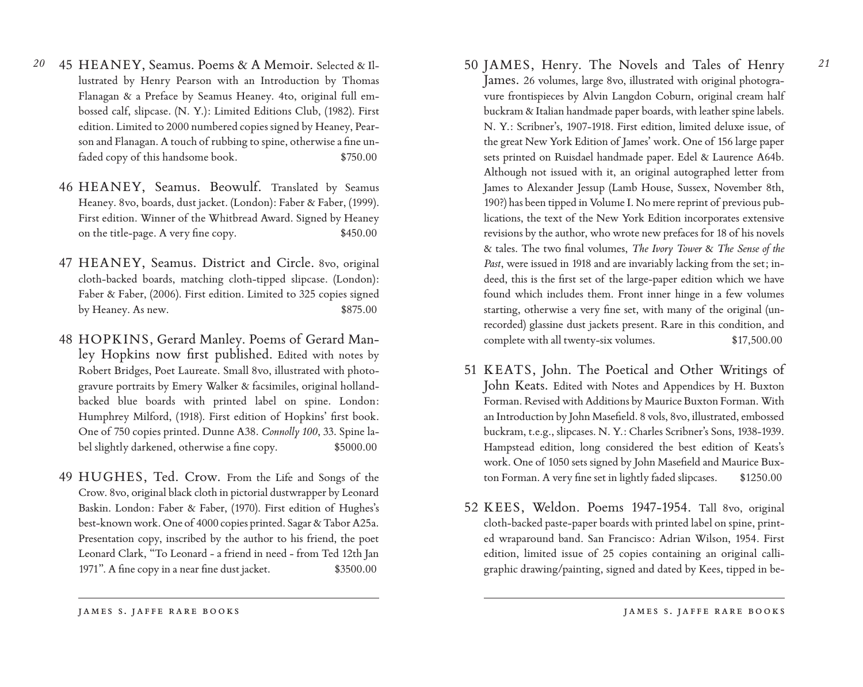- *20* 45 HEANEY, Seamus. Poems & A Memoir. Selected & Illustrated by Henry Pearson with an Introduction by Thomas Flanagan & a Preface by Seamus Heaney. 4to, original full embossed calf, slipcase. (N. Y.): Limited Editions Club, (1982). First edition. Limited to 2000 numbered copies signed by Heaney, Pearson and Flanagan. A touch of rubbing to spine, otherwise a fine unfaded copy of this handsome book.  $$750.00$ 
	- 46 HEANEY, Seamus. Beowulf. Translated by Seamus Heaney. 8vo, boards, dust jacket. (London): Faber & Faber, (1999). First edition. Winner of the Whitbread Award. Signed by Heaney on the title-page. A very fine copy.  $$450.00$
	- 47 HEANEY, Seamus. District and Circle. 8vo, original cloth-backed boards, matching cloth-tipped slipcase. (London): Faber & Faber, (2006). First edition. Limited to 325 copies signed by Heaney. As new.  $$875.00$
	- 48 HOPKINS, Gerard Manley. Poems of Gerard Manley Hopkins now first published. Edited with notes by Robert Bridges, Poet Laureate. Small 8vo, illustrated with photogravure portraits by Emery Walker & facsimiles, original hollandbacked blue boards with printed label on spine. London: Humphrey Milford, (1918). First edition of Hopkins' first book. One of 750 copies printed. Dunne A38. *Connolly 100*, 33. Spine label slightly darkened, otherwise a fine copy.  $$5000.00$
	- 49 HUGHES, Ted. Crow. From the Life and Songs of the Crow. 8vo, original black cloth in pictorial dustwrapper by Leonard Baskin. London: Faber & Faber, (1970). First edition of Hughes's best-known work. One of 4000 copies printed. Sagar & Tabor A25a. Presentation copy, inscribed by the author to his friend, the poet Leonard Clark, "To Leonard - a friend in need - from Ted 12th Jan 1971". A fine copy in a near fine dust jacket. \$3500.00
- 50 JAMES, Henry. The Novels and Tales of Henry James. 26 volumes, large 8vo, illustrated with original photogravure frontispieces by Alvin Langdon Coburn, original cream half buckram & Italian handmade paper boards, with leather spine labels. N. Y.: Scribner's, 1907-1918. First edition, limited deluxe issue, of the great New York Edition of James' work. One of 156 large paper sets printed on Ruisdael handmade paper. Edel & Laurence A64b. Although not issued with it, an original autographed letter from James to Alexander Jessup (Lamb House, Sussex, November 8th, 190?) has been tipped in Volume I. No mere reprint of previous publications, the text of the New York Edition incorporates extensive revisions by the author, who wrote new prefaces for 18 of his novels & tales. The two final volumes, *The Ivory Tower* & *The Sense of the Past*, were issued in 1918 and are invariably lacking from the set; indeed, this is the first set of the large-paper edition which we have found which includes them. Front inner hinge in a few volumes starting, otherwise a very fine set, with many of the original (unrecorded) glassine dust jackets present. Rare in this condition, and complete with all twenty-six volumes. \$17,500.00
- 51 KEATS, John. The Poetical and Other Writings of John Keats. Edited with Notes and Appendices by H. Buxton Forman. Revised with Additions by Maurice Buxton Forman. With an Introduction by John Masefield. 8 vols, 8vo, illustrated, embossed buckram, t.e.g., slipcases. N. Y.: Charles Scribner's Sons, 1938-1939. Hampstead edition, long considered the best edition of Keats's work. One of 1050 sets signed by John Masefield and Maurice Buxton Forman. A very fine set in lightly faded slipcases. \$1250.00
- 52 KEES, Weldon. Poems 1947-1954. Tall 8vo, original cloth-backed paste-paper boards with printed label on spine, printed wraparound band. San Francisco: Adrian Wilson, 1954. First edition, limited issue of 25 copies containing an original calligraphic drawing/painting, signed and dated by Kees, tipped in be-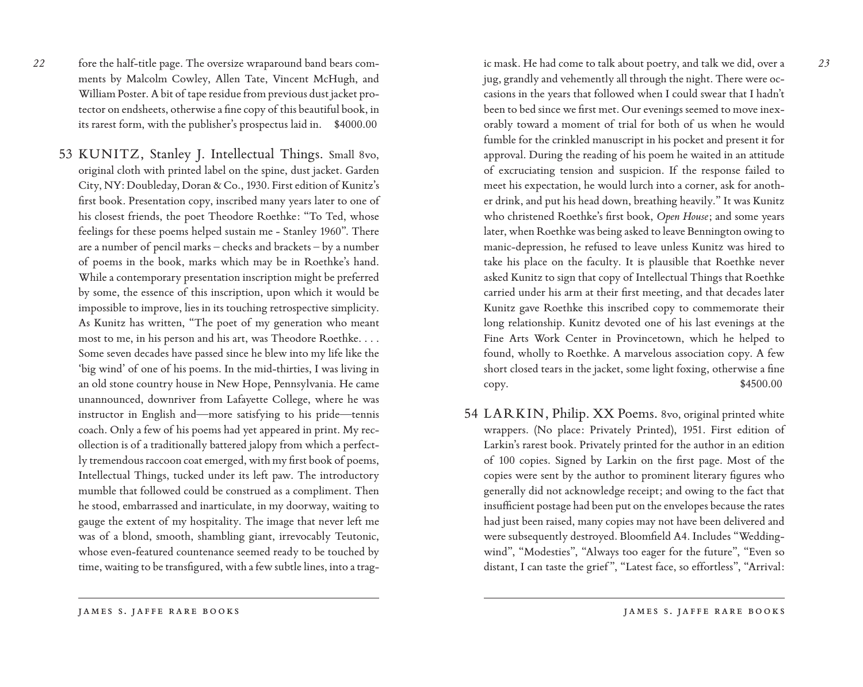- fore the half-title page. The oversize wraparound band bears comments by Malcolm Cowley, Allen Tate, Vincent McHugh, and William Poster. A bit of tape residue from previous dust jacket protector on endsheets, otherwise a fine copy of this beautiful book, in its rarest form, with the publisher's prospectus laid in. \$4000.00
- 53 KUNITZ, Stanley J. Intellectual Things. Small 8vo, original cloth with printed label on the spine, dust jacket. Garden City, NY: Doubleday, Doran & Co., 1930. First edition of Kunitz's first book. Presentation copy, inscribed many years later to one of his closest friends, the poet Theodore Roethke: "To Ted, whose feelings for these poems helped sustain me - Stanley 1960". There are a number of pencil marks – checks and brackets – by a number of poems in the book, marks which may be in Roethke's hand. While a contemporary presentation inscription might be preferred by some, the essence of this inscription, upon which it would be impossible to improve, lies in its touching retrospective simplicity. As Kunitz has written, "The poet of my generation who meant most to me, in his person and his art, was Theodore Roethke. . . . Some seven decades have passed since he blew into my life like the 'big wind' of one of his poems. In the mid-thirties, I was living in an old stone country house in New Hope, Pennsylvania. He came unannounced, downriver from Lafayette College, where he was instructor in English and—more satisfying to his pride—tennis coach. Only a few of his poems had yet appeared in print. My recollection is of a traditionally battered jalopy from which a perfectly tremendous raccoon coat emerged, with my first book of poems, Intellectual Things, tucked under its left paw. The introductory mumble that followed could be construed as a compliment. Then he stood, embarrassed and inarticulate, in my doorway, waiting to gauge the extent of my hospitality. The image that never left me was of a blond, smooth, shambling giant, irrevocably Teutonic, whose even-featured countenance seemed ready to be touched by time, waiting to be transfigured, with a few subtle lines, into a trag-

ic mask. He had come to talk about poetry, and talk we did, over a jug, grandly and vehemently all through the night. There were occasions in the years that followed when I could swear that I hadn't been to bed since we first met. Our evenings seemed to move inexorably toward a moment of trial for both of us when he would fumble for the crinkled manuscript in his pocket and present it for approval. During the reading of his poem he waited in an attitude of excruciating tension and suspicion. If the response failed to meet his expectation, he would lurch into a corner, ask for another drink, and put his head down, breathing heavily." It was Kunitz who christened Roethke's first book, *Open House*; and some years later, when Roethke was being asked to leave Bennington owing to manic-depression, he refused to leave unless Kunitz was hired to take his place on the faculty. It is plausible that Roethke never asked Kunitz to sign that copy of Intellectual Things that Roethke carried under his arm at their first meeting, and that decades later Kunitz gave Roethke this inscribed copy to commemorate their long relationship. Kunitz devoted one of his last evenings at the Fine Arts Work Center in Provincetown, which he helped to

- found, wholly to Roethke. A marvelous association copy. A few short closed tears in the jacket, some light foxing, otherwise a fine copy.  $$4500.00$
- 54 LARKIN, Philip. XX Poems. 8vo, original printed white wrappers. (No place: Privately Printed), 1951. First edition of Larkin's rarest book. Privately printed for the author in an edition of 100 copies. Signed by Larkin on the first page. Most of the copies were sent by the author to prominent literary figures who generally did not acknowledge receipt; and owing to the fact that insufficient postage had been put on the envelopes because the rates had just been raised, many copies may not have been delivered and were subsequently destroyed. Bloomfield A4. Includes "Weddingwind", "Modesties", "Always too eager for the future", "Even so distant, I can taste the grief ", "Latest face, so effortless", "Arrival: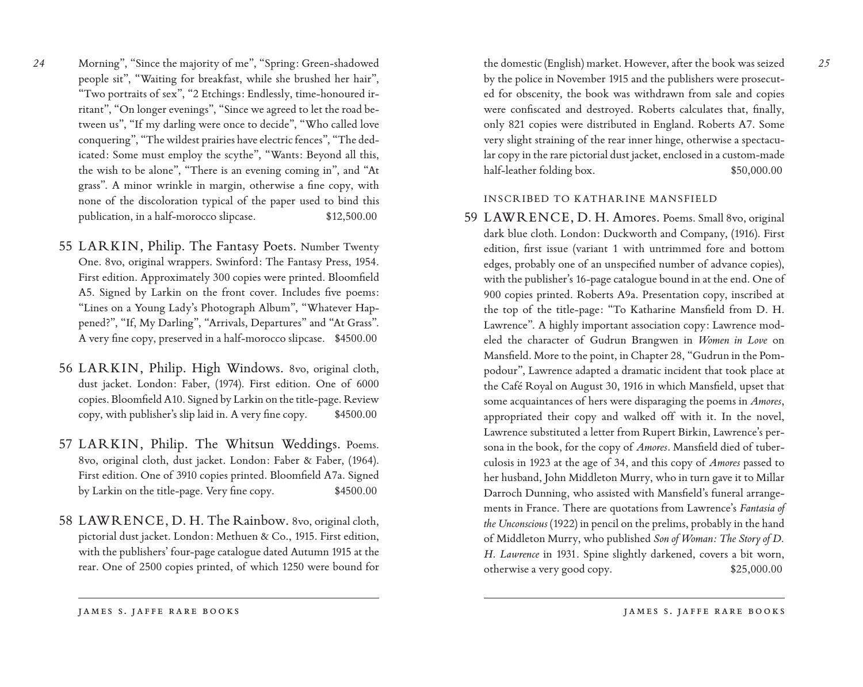Morning", "Since the majority of me", "Spring: Green-shadowed people sit", "Waiting for breakfast, while she brushed her hair", "Two portraits of sex", "2 Etchings: Endlessly, time-honoured irritant", "On longer evenings", "Since we agreed to let the road between us", "If my darling were once to decide", "Who called love conquering", "The wildest prairies have electric fences", "The dedicated: Some must employ the scythe", "Wants: Beyond all this, the wish to be alone", "There is an evening coming in", and "At grass". A minor wrinkle in margin, otherwise a fine copy, with none of the discoloration typical of the paper used to bind this publication, in a half-morocco slipcase. \$12,500.00

*24*

- 55 LARKIN, Philip. The Fantasy Poets. Number Twenty One. 8vo, original wrappers. Swinford: The Fantasy Press, 1954. First edition. Approximately 300 copies were printed. Bloomfield A5. Signed by Larkin on the front cover. Includes five poems: "Lines on a Young Lady's Photograph Album", "Whatever Happened?", "If, My Darling", "Arrivals, Departures" and "At Grass". A very fine copy, preserved in a half-morocco slipcase. \$4500.00
- 56 LARKIN, Philip. High Windows. 8vo, original cloth, dust jacket. London: Faber, (1974). First edition. One of 6000 copies. Bloomfield A10. Signed by Larkin on the title-page. Review copy, with publisher's slip laid in. A very fine copy. \$4500.00
- 57 LARKIN, Philip. The Whitsun Weddings. Poems. 8vo, original cloth, dust jacket. London: Faber & Faber, (1964). First edition. One of 3910 copies printed. Bloomfield A7a. Signed by Larkin on the title-page. Very fine copy. \$4500.00
- 58 LAWRENCE, D. H. The Rainbow. 8vo, original cloth, pictorial dust jacket. London: Methuen & Co., 1915. First edition, with the publishers' four-page catalogue dated Autumn 1915 at the rear. One of 2500 copies printed, of which 1250 were bound for

the domestic (English) market. However, after the book was seized by the police in November 1915 and the publishers were prosecuted for obscenity, the book was withdrawn from sale and copies were confiscated and destroyed. Roberts calculates that, finally, only 821 copies were distributed in England. Roberts A7. Some very slight straining of the rear inner hinge, otherwise a spectacular copy in the rare pictorial dust jacket, enclosed in a custom-made half-leather folding box.  $$50,000.00$ 

## INSCRIBED TO KATHARINE MANSFIELD

59 LAWRENCE, D. H. Amores. Poems. Small 8vo, original dark blue cloth. London: Duckworth and Company, (1916). First edition, first issue (variant 1 with untrimmed fore and bottom edges, probably one of an unspecified number of advance copies), with the publisher's 16-page catalogue bound in at the end. One of 900 copies printed. Roberts A9a. Presentation copy, inscribed at the top of the title-page: "To Katharine Mansfield from D. H. Lawrence". A highly important association copy: Lawrence modeled the character of Gudrun Brangwen in *Women in Love* on Mansfield. More to the point, in Chapter 28, "Gudrun in the Pompodour", Lawrence adapted a dramatic incident that took place at the Café Royal on August 30, 1916 in which Mansfield, upset that some acquaintances of hers were disparaging the poems in *Amores*, appropriated their copy and walked off with it. In the novel, Lawrence substituted a letter from Rupert Birkin, Lawrence's persona in the book, for the copy of *Amores*. Mansfield died of tuberculosis in 1923 at the age of 34, and this copy of *Amores* passed to her husband, John Middleton Murry, who in turn gave it to Millar Darroch Dunning, who assisted with Mansfield's funeral arrangements in France. There are quotations from Lawrence's *Fantasia of the Unconscious* (1922) in pencil on the prelims, probably in the hand of Middleton Murry, who published *Son of Woman: The Story of D. H. Lawrence* in 1931. Spine slightly darkened, covers a bit worn, otherwise a very good copy.  $$25,000.00$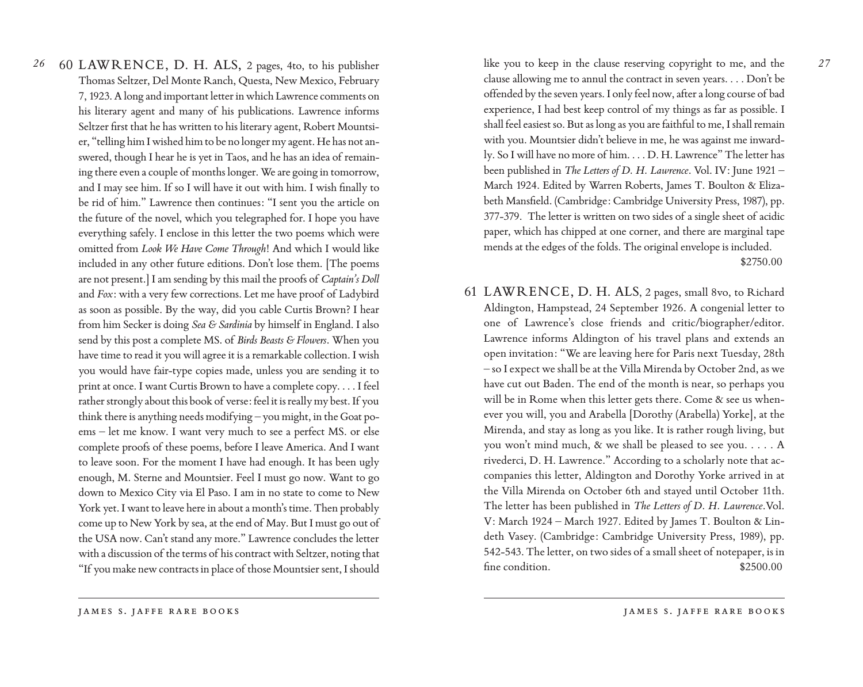60 LAWRENCE, D. H. ALS, 2 pages, 4to, to his publisher Thomas Seltzer, Del Monte Ranch, Questa, New Mexico, February 7, 1923. A long and important letter in which Lawrence comments on his literary agent and many of his publications. Lawrence informs Seltzer first that he has written to his literary agent, Robert Mountsier, "telling him I wished him to be no longer my agent. He has not answered, though I hear he is yet in Taos, and he has an idea of remaining there even a couple of months longer. We are going in tomorrow, and I may see him. If so I will have it out with him. I wish finally to be rid of him." Lawrence then continues: "I sent you the article on the future of the novel, which you telegraphed for. I hope you have everything safely. I enclose in this letter the two poems which were omitted from *Look We Have Come Through*! And which I would like included in any other future editions. Don't lose them. [The poems are not present.] I am sending by this mail the proofs of *Captain's Doll* and *Fox*: with a very few corrections. Let me have proof of Ladybird as soon as possible. By the way, did you cable Curtis Brown? I hear from him Secker is doing *Sea & Sardinia* by himself in England. I also send by this post a complete MS. of *Birds Beasts & Flowers*. When you have time to read it you will agree it is a remarkable collection. I wish you would have fair-type copies made, unless you are sending it to print at once. I want Curtis Brown to have a complete copy. . . . I feel rather strongly about this book of verse: feel it is really my best. If you think there is anything needs modifying – you might, in the Goat poems – let me know. I want very much to see a perfect MS. or else complete proofs of these poems, before I leave America. And I want to leave soon. For the moment I have had enough. It has been ugly enough, M. Sterne and Mountsier. Feel I must go now. Want to go down to Mexico City via El Paso. I am in no state to come to New York yet. I want to leave here in about a month's time. Then probably come up to New York by sea, at the end of May. But I must go out of the USA now. Can't stand any more." Lawrence concludes the letter with a discussion of the terms of his contract with Seltzer, noting that "If you make new contracts in place of those Mountsier sent, I should

*26*

like you to keep in the clause reserving copyright to me, and the clause allowing me to annul the contract in seven years. . . . Don't be offended by the seven years. I only feel now, after a long course of bad experience, I had best keep control of my things as far as possible. I shall feel easiest so. But as long as you are faithful to me, I shall remain with you. Mountsier didn't believe in me, he was against me inwardly. So I will have no more of him. . . . D. H. Lawrence" The letter has been published in *The Letters of D. H. Lawrence*. Vol. IV: June 1921 – March 1924. Edited by Warren Roberts, James T. Boulton & Elizabeth Mansfield. (Cambridge: Cambridge University Press, 1987), pp. 377-379. The letter is written on two sides of a single sheet of acidic paper, which has chipped at one corner, and there are marginal tape mends at the edges of the folds. The original envelope is included. \$2750.00

61 LAWRENCE, D. H. ALS, 2 pages, small 8vo, to Richard Aldington, Hampstead, 24 September 1926. A congenial letter to one of Lawrence's close friends and critic/biographer/editor. Lawrence informs Aldington of his travel plans and extends an open invitation: "We are leaving here for Paris next Tuesday, 28th – so I expect we shall be at the Villa Mirenda by October 2nd, as we have cut out Baden. The end of the month is near, so perhaps you will be in Rome when this letter gets there. Come & see us whenever you will, you and Arabella [Dorothy (Arabella) Yorke], at the Mirenda, and stay as long as you like. It is rather rough living, but you won't mind much, & we shall be pleased to see you. . . . . A rivederci, D. H. Lawrence." According to a scholarly note that accompanies this letter, Aldington and Dorothy Yorke arrived in at the Villa Mirenda on October 6th and stayed until October 11th. The letter has been published in *The Letters of D. H. Lawrence*.Vol. V: March 1924 – March 1927. Edited by James T. Boulton & Lindeth Vasey. (Cambridge: Cambridge University Press, 1989), pp. 542-543. The letter, on two sides of a small sheet of notepaper, is in fine condition.  $$2500.00$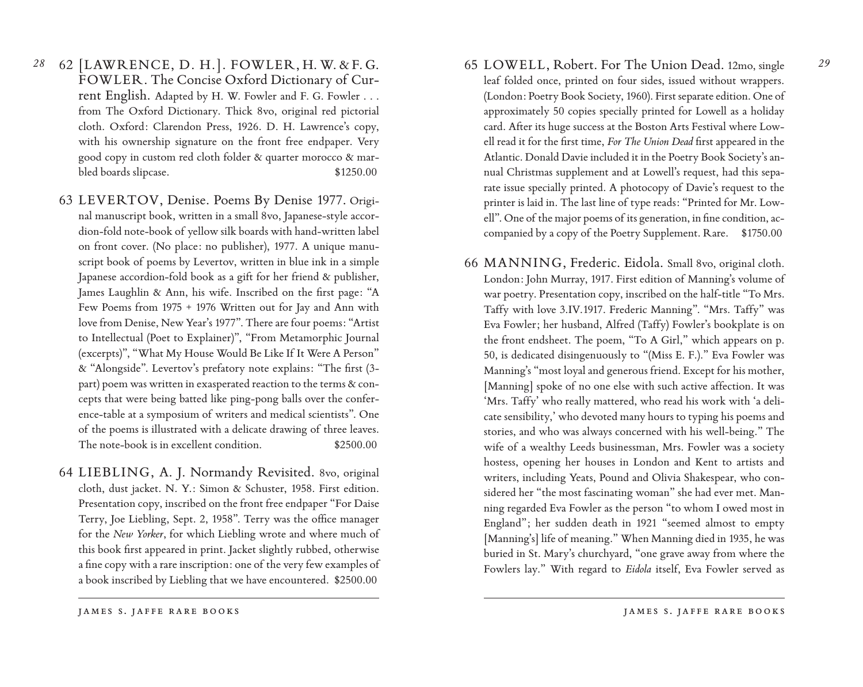- *28* 62 [LAWRENCE, D. H.]. FOWLER, H. W. & F. G. FOWLER. The Concise Oxford Dictionary of Current English. Adapted by H. W. Fowler and F. G. Fowler . . . from The Oxford Dictionary. Thick 8vo, original red pictorial cloth. Oxford: Clarendon Press, 1926. D. H. Lawrence's copy, with his ownership signature on the front free endpaper. Very good copy in custom red cloth folder & quarter morocco & marbled boards slipcase.  $$1250.00$ 
	- 63 LEVERTOV, Denise. Poems By Denise 1977. Original manuscript book, written in a small 8vo, Japanese-style accordion-fold note-book of yellow silk boards with hand-written label on front cover. (No place: no publisher), 1977. A unique manuscript book of poems by Levertov, written in blue ink in a simple Japanese accordion-fold book as a gift for her friend & publisher, James Laughlin & Ann, his wife. Inscribed on the first page: "A Few Poems from 1975 + 1976 Written out for Jay and Ann with love from Denise, New Year's 1977". There are four poems: "Artist to Intellectual (Poet to Explainer)", "From Metamorphic Journal (excerpts)", "What My House Would Be Like If It Were A Person" & "Alongside". Levertov's prefatory note explains: "The first (3 part) poem was written in exasperated reaction to the terms & concepts that were being batted like ping-pong balls over the conference-table at a symposium of writers and medical scientists". One of the poems is illustrated with a delicate drawing of three leaves. The note-book is in excellent condition.  $$2500.00$
	- 64 LIEBLING, A. J. Normandy Revisited. 8vo, original cloth, dust jacket. N. Y.: Simon & Schuster, 1958. First edition. Presentation copy, inscribed on the front free endpaper "For Daise Terry, Joe Liebling, Sept. 2, 1958". Terry was the office manager for the *New Yorker*, for which Liebling wrote and where much of this book first appeared in print. Jacket slightly rubbed, otherwise a fine copy with a rare inscription: one of the very few examples of a book inscribed by Liebling that we have encountered. \$2500.00
		- james s. jaffe rare books
- 65 LOWELL, Robert. For The Union Dead. 12mo, single leaf folded once, printed on four sides, issued without wrappers. (London: Poetry Book Society, 1960). First separate edition. One of approximately 50 copies specially printed for Lowell as a holiday card. After its huge success at the Boston Arts Festival where Lowell read it for the first time, *For The Union Dead* first appeared in the Atlantic. Donald Davie included it in the Poetry Book Society's annual Christmas supplement and at Lowell's request, had this separate issue specially printed. A photocopy of Davie's request to the printer is laid in. The last line of type reads: "Printed for Mr. Lowell". One of the major poems of its generation, in fine condition, accompanied by a copy of the Poetry Supplement. Rare. \$1750.00
- 66 MANNING, Frederic. Eidola. Small 8vo, original cloth. London: John Murray, 1917. First edition of Manning's volume of war poetry. Presentation copy, inscribed on the half-title "To Mrs. Taffy with love 3.IV.1917. Frederic Manning". "Mrs. Taffy" was Eva Fowler; her husband, Alfred (Taffy) Fowler's bookplate is on the front endsheet. The poem, "To A Girl," which appears on p. 50, is dedicated disingenuously to "(Miss E. F.)." Eva Fowler was Manning's "most loyal and generous friend. Except for his mother, [Manning] spoke of no one else with such active affection. It was 'Mrs. Taffy' who really mattered, who read his work with 'a delicate sensibility,' who devoted many hours to typing his poems and stories, and who was always concerned with his well-being." The wife of a wealthy Leeds businessman, Mrs. Fowler was a society hostess, opening her houses in London and Kent to artists and writers, including Yeats, Pound and Olivia Shakespear, who considered her "the most fascinating woman" she had ever met. Manning regarded Eva Fowler as the person "to whom I owed most in England"; her sudden death in 1921 "seemed almost to empty [Manning's] life of meaning." When Manning died in 1935, he was buried in St. Mary's churchyard, "one grave away from where the Fowlers lay." With regard to *Eidola* itself, Eva Fowler served as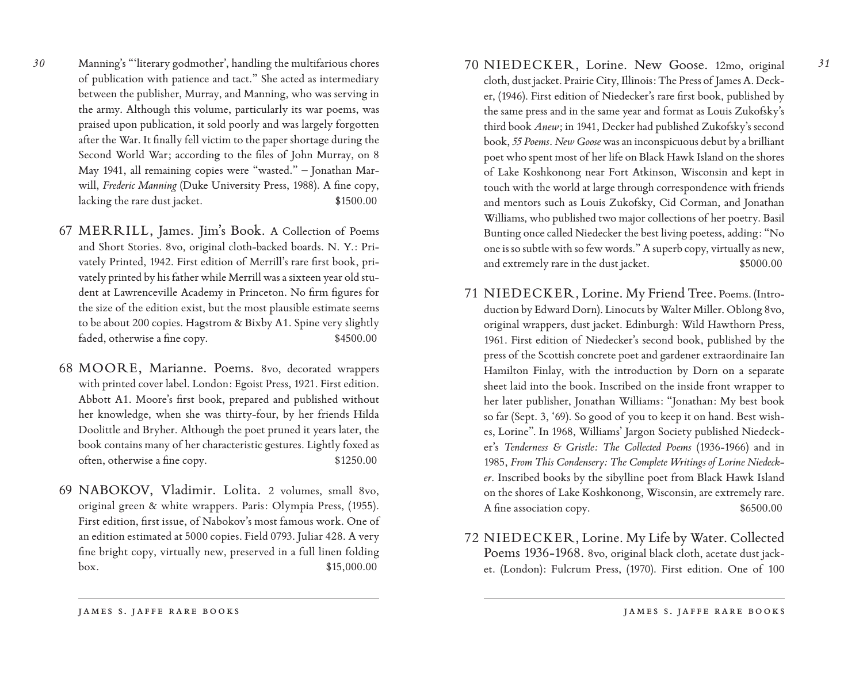Manning's "'literary godmother', handling the multifarious chores of publication with patience and tact." She acted as intermediary between the publisher, Murray, and Manning, who was serving in the army. Although this volume, particularly its war poems, was praised upon publication, it sold poorly and was largely forgotten after the War. It finally fell victim to the paper shortage during the Second World War; according to the files of John Murray, on 8 May 1941, all remaining copies were "wasted." – Jonathan Marwill, *Frederic Manning* (Duke University Press, 1988). A fine copy, lacking the rare dust jacket.  $$1500.00$ 

*30*

- 67 MERRILL, James. Jim's Book. A Collection of Poems and Short Stories. 8vo, original cloth-backed boards. N. Y.: Privately Printed, 1942. First edition of Merrill's rare first book, privately printed by his father while Merrill was a sixteen year old student at Lawrenceville Academy in Princeton. No firm figures for the size of the edition exist, but the most plausible estimate seems to be about 200 copies. Hagstrom & Bixby A1. Spine very slightly faded, otherwise a fine copy.  $$4500.00$
- 68 MOORE, Marianne. Poems. 8vo, decorated wrappers with printed cover label. London: Egoist Press, 1921. First edition. Abbott A1. Moore's first book, prepared and published without her knowledge, when she was thirty-four, by her friends Hilda Doolittle and Bryher. Although the poet pruned it years later, the book contains many of her characteristic gestures. Lightly foxed as often, otherwise a fine copy.  $$1250.00$
- 69 NABOKOV, Vladimir. Lolita. 2 volumes, small 8vo, original green & white wrappers. Paris: Olympia Press, (1955). First edition, first issue, of Nabokov's most famous work. One of an edition estimated at 5000 copies. Field 0793. Juliar 428. A very fine bright copy, virtually new, preserved in a full linen folding box. \$15,000.00

70 NIEDECKER, Lorine. New Goose. 12mo, original cloth, dust jacket. Prairie City, Illinois: The Press of James A. Decker, (1946). First edition of Niedecker's rare first book, published by the same press and in the same year and format as Louis Zukofsky's third book *Anew*; in 1941, Decker had published Zukofsky's second book, *55 Poems*. *New Goose* was an inconspicuous debut by a brilliant poet who spent most of her life on Black Hawk Island on the shores of Lake Koshkonong near Fort Atkinson, Wisconsin and kept in touch with the world at large through correspondence with friends and mentors such as Louis Zukofsky, Cid Corman, and Jonathan

Williams, who published two major collections of her poetry. Basil Bunting once called Niedecker the best living poetess, adding: "No one is so subtle with so few words." A superb copy, virtually as new, and extremely rare in the dust jacket.  $$5000.00$ 

- 71 NIEDECKER, Lorine. My Friend Tree. Poems. (Introduction by Edward Dorn). Linocuts by Walter Miller. Oblong 8vo, original wrappers, dust jacket. Edinburgh: Wild Hawthorn Press, 1961. First edition of Niedecker's second book, published by the press of the Scottish concrete poet and gardener extraordinaire Ian Hamilton Finlay, with the introduction by Dorn on a separate sheet laid into the book. Inscribed on the inside front wrapper to her later publisher, Jonathan Williams: "Jonathan: My best book so far (Sept. 3, '69). So good of you to keep it on hand. Best wishes, Lorine". In 1968, Williams' Jargon Society published Niedecker's *Tenderness & Gristle: The Collected Poems* (1936-1966) and in 1985, *From This Condensery: The Complete Writings of Lorine Niedecker*. Inscribed books by the sibylline poet from Black Hawk Island on the shores of Lake Koshkonong, Wisconsin, are extremely rare. A fine association copy.  $$6500.00$
- 72 NIEDECKER, Lorine. My Life by Water. Collected Poems 1936-1968. 8vo, original black cloth, acetate dust jacket. (London): Fulcrum Press, (1970). First edition. One of 100

*31*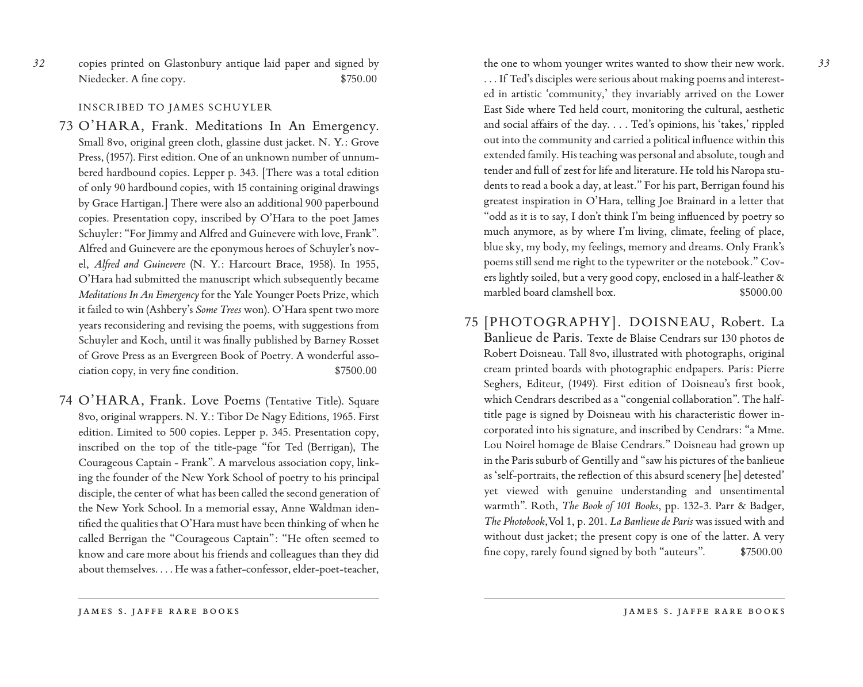*32* copies printed on Glastonbury antique laid paper and signed by Niedecker. A fine copy.  $$750.00$ 

INSCRIBED TO JAMES SCHUYLER

- 73 O'HARA, Frank. Meditations In An Emergency. Small 8vo, original green cloth, glassine dust jacket. N. Y.: Grove Press, (1957). First edition. One of an unknown number of unnumbered hardbound copies. Lepper p. 343. [There was a total edition of only 90 hardbound copies, with 15 containing original drawings by Grace Hartigan.] There were also an additional 900 paperbound copies. Presentation copy, inscribed by O'Hara to the poet James Schuyler: "For Jimmy and Alfred and Guinevere with love, Frank". Alfred and Guinevere are the eponymous heroes of Schuyler's novel, *Alfred and Guinevere* (N. Y.: Harcourt Brace, 1958). In 1955, O'Hara had submitted the manuscript which subsequently became *Meditations In An Emergency* for the Yale Younger Poets Prize, which it failed to win (Ashbery's *Some Trees* won). O'Hara spent two more years reconsidering and revising the poems, with suggestions from Schuyler and Koch, until it was finally published by Barney Rosset of Grove Press as an Evergreen Book of Poetry. A wonderful association copy, in very fine condition. \$7500.00
- 74 O'HARA, Frank. Love Poems (Tentative Title). Square 8vo, original wrappers. N. Y.: Tibor De Nagy Editions, 1965. First edition. Limited to 500 copies. Lepper p. 345. Presentation copy, inscribed on the top of the title-page "for Ted (Berrigan), The Courageous Captain - Frank". A marvelous association copy, linking the founder of the New York School of poetry to his principal disciple, the center of what has been called the second generation of the New York School. In a memorial essay, Anne Waldman identified the qualities that O'Hara must have been thinking of when he called Berrigan the "Courageous Captain": "He often seemed to know and care more about his friends and colleagues than they did about themselves. . . . He was a father-confessor, elder-poet-teacher,

. . . If Ted's disciples were serious about making poems and interested in artistic 'community,' they invariably arrived on the Lower East Side where Ted held court, monitoring the cultural, aesthetic and social affairs of the day. . . . Ted's opinions, his 'takes,' rippled out into the community and carried a political influence within this extended family. His teaching was personal and absolute, tough and tender and full of zest for life and literature. He told his Naropa students to read a book a day, at least." For his part, Berrigan found his greatest inspiration in O'Hara, telling Joe Brainard in a letter that "odd as it is to say, I don't think I'm being influenced by poetry so much anymore, as by where I'm living, climate, feeling of place, blue sky, my body, my feelings, memory and dreams. Only Frank's poems still send me right to the typewriter or the notebook." Covers lightly soiled, but a very good copy, enclosed in a half-leather & marbled board clamshell box.  $$5000.00$ 

75 [PHOTOGRAPHY]. DOISNEAU, Robert. La Banlieue de Paris. Texte de Blaise Cendrars sur 130 photos de Robert Doisneau. Tall 8vo, illustrated with photographs, original cream printed boards with photographic endpapers. Paris: Pierre Seghers, Editeur, (1949). First edition of Doisneau's first book, which Cendrars described as a "congenial collaboration". The halftitle page is signed by Doisneau with his characteristic flower incorporated into his signature, and inscribed by Cendrars: "a Mme. Lou Noirel homage de Blaise Cendrars." Doisneau had grown up in the Paris suburb of Gentilly and "saw his pictures of the banlieue as 'self-portraits, the reflection of this absurd scenery [he] detested' yet viewed with genuine understanding and unsentimental warmth". Roth, *The Book of 101 Books*, pp. 132-3. Parr & Badger, *The Photobook*,Vol 1, p. 201. *La Banlieue de Paris* was issued with and without dust jacket; the present copy is one of the latter. A very fine copy, rarely found signed by both "auteurs". \$7500.00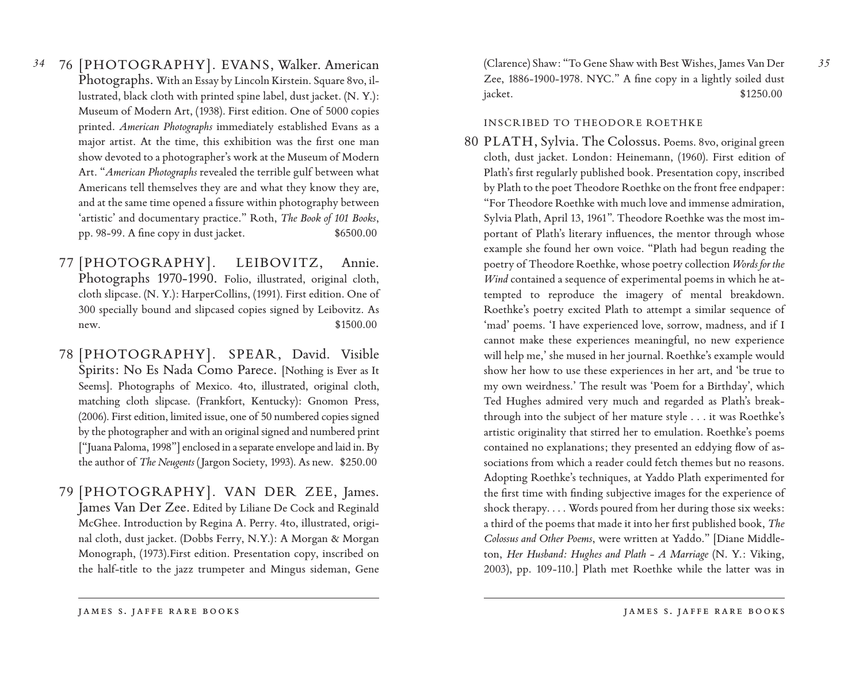*34* 76 [PHOTOGRAPHY]. EVANS, Walker. American Photographs. With an Essay by Lincoln Kirstein. Square 8vo, illustrated, black cloth with printed spine label, dust jacket. (N. Y.): Museum of Modern Art, (1938). First edition. One of 5000 copies printed. *American Photographs* immediately established Evans as a major artist. At the time, this exhibition was the first one man show devoted to a photographer's work at the Museum of Modern Art. "*American Photographs* revealed the terrible gulf between what Americans tell themselves they are and what they know they are, and at the same time opened a fissure within photography between 'artistic' and documentary practice." Roth, *The Book of 101 Books*, pp. 98-99. A fine copy in dust jacket.  $$6500.00$ 

- 77 [PHOTOGRAPHY]. LEIBOVITZ, Annie. Photographs 1970-1990. Folio, illustrated, original cloth, cloth slipcase. (N. Y.): HarperCollins, (1991). First edition. One of 300 specially bound and slipcased copies signed by Leibovitz. As new. \$1500.00
- 78 [PHOTOGRAPHY]. SPEAR, David. Visible Spirits: No Es Nada Como Parece. [Nothing is Ever as It Seems]. Photographs of Mexico. 4to, illustrated, original cloth, matching cloth slipcase. (Frankfort, Kentucky): Gnomon Press, (2006). First edition, limited issue, one of 50 numbered copies signed by the photographer and with an original signed and numbered print ["Juana Paloma, 1998"] enclosed in a separate envelope and laid in. By the author of *The Neugents* (Jargon Society, 1993). As new. \$250.00
- 79 [PHOTOGRAPHY]. VAN DER ZEE, James. James Van Der Zee. Edited by Liliane De Cock and Reginald McGhee. Introduction by Regina A. Perry. 4to, illustrated, original cloth, dust jacket. (Dobbs Ferry, N.Y.): A Morgan & Morgan Monograph, (1973).First edition. Presentation copy, inscribed on the half-title to the jazz trumpeter and Mingus sideman, Gene

(Clarence) Shaw: "To Gene Shaw with Best Wishes, James Van Der Zee, 1886-1900-1978. NYC." A fine copy in a lightly soiled dust jacket. \$1250.00

### INSCRIBED TO THEODORE ROETHKE

80 PLATH, Sylvia. The Colossus. Poems. 8vo, original green cloth, dust jacket. London: Heinemann, (1960). First edition of Plath's first regularly published book. Presentation copy, inscribed by Plath to the poet Theodore Roethke on the front free endpaper: "For Theodore Roethke with much love and immense admiration, Sylvia Plath, April 13, 1961". Theodore Roethke was the most important of Plath's literary influences, the mentor through whose example she found her own voice. "Plath had begun reading the poetry of Theodore Roethke, whose poetry collection *Words for the Wind* contained a sequence of experimental poems in which he attempted to reproduce the imagery of mental breakdown. Roethke's poetry excited Plath to attempt a similar sequence of 'mad' poems. 'I have experienced love, sorrow, madness, and if I cannot make these experiences meaningful, no new experience will help me,' she mused in her journal. Roethke's example would show her how to use these experiences in her art, and 'be true to my own weirdness.' The result was 'Poem for a Birthday', which Ted Hughes admired very much and regarded as Plath's breakthrough into the subject of her mature style . . . it was Roethke's artistic originality that stirred her to emulation. Roethke's poems contained no explanations; they presented an eddying flow of associations from which a reader could fetch themes but no reasons. Adopting Roethke's techniques, at Yaddo Plath experimented for the first time with finding subjective images for the experience of shock therapy. . . . Words poured from her during those six weeks: a third of the poems that made it into her first published book, *The Colossus and Other Poems*, were written at Yaddo." [Diane Middleton, *Her Husband: Hughes and Plath - A Marriage* (N. Y.: Viking, 2003), pp. 109-110.] Plath met Roethke while the latter was in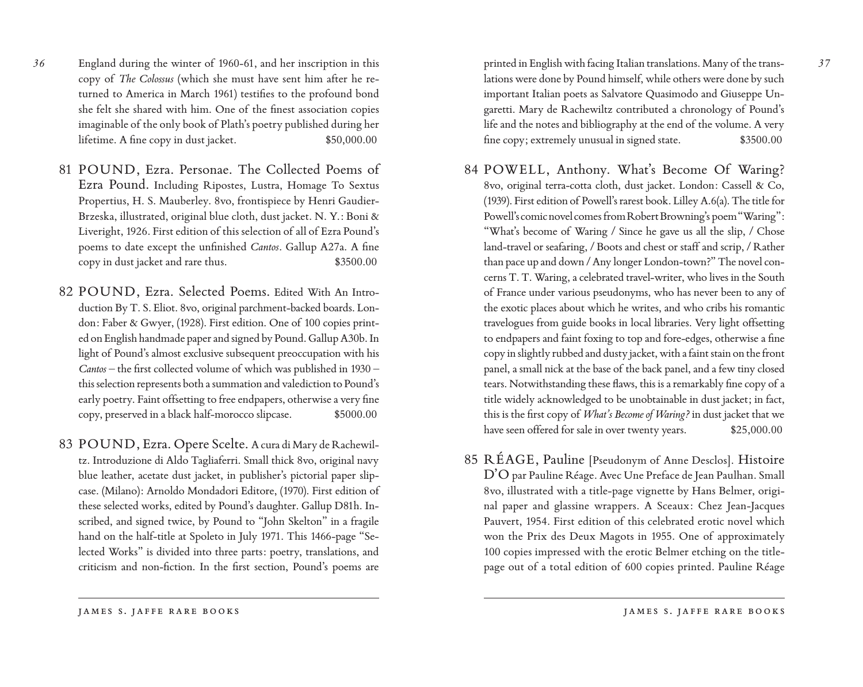- *36* England during the winter of 1960-61, and her inscription in this copy of *The Colossus* (which she must have sent him after he returned to America in March 1961) testifies to the profound bond she felt she shared with him. One of the finest association copies imaginable of the only book of Plath's poetry published during her lifetime. A fine copy in dust jacket.  $$50,000.00$ 
	- 81 POUND, Ezra. Personae. The Collected Poems of Ezra Pound. Including Ripostes, Lustra, Homage To Sextus Propertius, H. S. Mauberley. 8vo, frontispiece by Henri Gaudier-Brzeska, illustrated, original blue cloth, dust jacket. N. Y.: Boni & Liveright, 1926. First edition of this selection of all of Ezra Pound's poems to date except the unfinished *Cantos*. Gallup A27a. A fine copy in dust jacket and rare thus. \$3500.00
	- 82 POUND, Ezra. Selected Poems. Edited With An Introduction By T. S. Eliot. 8vo, original parchment-backed boards. London: Faber & Gwyer, (1928). First edition. One of 100 copies printed on English handmade paper and signed by Pound. Gallup A30b. In light of Pound's almost exclusive subsequent preoccupation with his *Cantos* – the first collected volume of which was published in 1930 – this selection represents both a summation and valediction to Pound's early poetry. Faint offsetting to free endpapers, otherwise a very fine copy, preserved in a black half-morocco slipcase. \$5000.00
	- 83 POUND, Ezra. Opere Scelte. A cura di Mary de Rachewiltz. Introduzione di Aldo Tagliaferri. Small thick 8vo, original navy blue leather, acetate dust jacket, in publisher's pictorial paper slipcase. (Milano): Arnoldo Mondadori Editore, (1970). First edition of these selected works, edited by Pound's daughter. Gallup D81h. Inscribed, and signed twice, by Pound to "John Skelton" in a fragile hand on the half-title at Spoleto in July 1971. This 1466-page "Selected Works" is divided into three parts: poetry, translations, and criticism and non-fiction. In the first section, Pound's poems are

printed in English with facing Italian translations. Many of the translations were done by Pound himself, while others were done by such important Italian poets as Salvatore Quasimodo and Giuseppe Ungaretti. Mary de Rachewiltz contributed a chronology of Pound's life and the notes and bibliography at the end of the volume. A very fine copy; extremely unusual in signed state. \$3500.00

- 84 POWELL, Anthony. What's Become Of Waring? 8vo, original terra-cotta cloth, dust jacket. London: Cassell & Co, (1939). First edition of Powell's rarest book. Lilley A.6(a). The title for Powell's comic novel comes from Robert Browning's poem "Waring": "What's become of Waring / Since he gave us all the slip, / Chose land-travel or seafaring, / Boots and chest or staff and scrip, / Rather than pace up and down / Any longer London-town?" The novel concerns T. T. Waring, a celebrated travel-writer, who lives in the South of France under various pseudonyms, who has never been to any of the exotic places about which he writes, and who cribs his romantic travelogues from guide books in local libraries. Very light offsetting to endpapers and faint foxing to top and fore-edges, otherwise a fine copy in slightly rubbed and dusty jacket, with a faint stain on the front panel, a small nick at the base of the back panel, and a few tiny closed tears. Notwithstanding these flaws, this is a remarkably fine copy of a title widely acknowledged to be unobtainable in dust jacket; in fact, this is the first copy of *What's Become of Waring?*in dust jacket that we have seen offered for sale in over twenty years. \$25,000.00
- 85 RÉAGE, Pauline [Pseudonym of Anne Desclos]. Histoire D'O par Pauline Réage. Avec Une Preface de Jean Paulhan. Small 8vo, illustrated with a title-page vignette by Hans Belmer, original paper and glassine wrappers. A Sceaux: Chez Jean-Jacques Pauvert, 1954. First edition of this celebrated erotic novel which won the Prix des Deux Magots in 1955. One of approximately 100 copies impressed with the erotic Belmer etching on the titlepage out of a total edition of 600 copies printed. Pauline Réage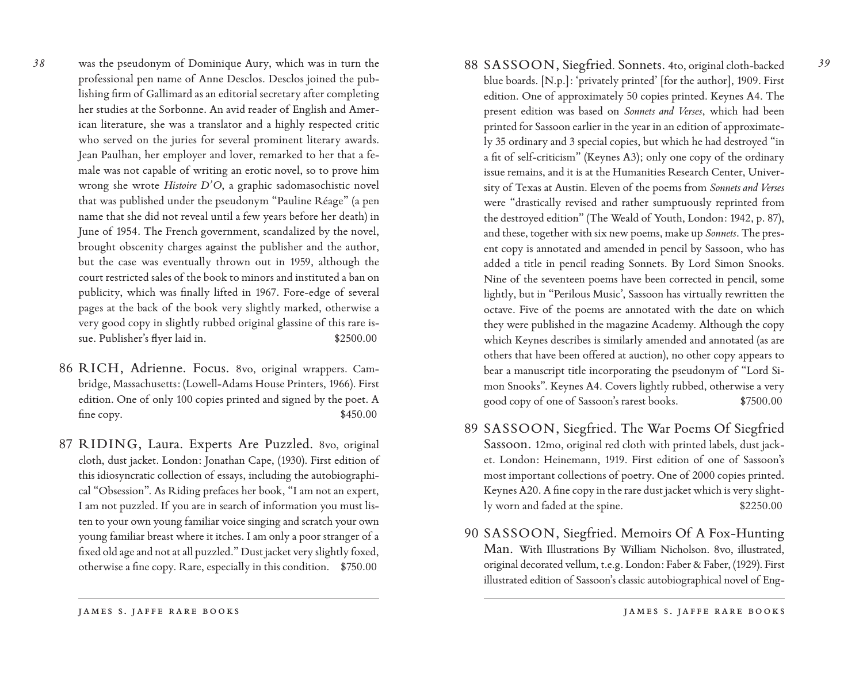was the pseudonym of Dominique Aury, which was in turn the professional pen name of Anne Desclos. Desclos joined the publishing firm of Gallimard as an editorial secretary after completing her studies at the Sorbonne. An avid reader of English and American literature, she was a translator and a highly respected critic who served on the juries for several prominent literary awards. Jean Paulhan, her employer and lover, remarked to her that a female was not capable of writing an erotic novel, so to prove him wrong she wrote *Histoire D'O*, a graphic sadomasochistic novel that was published under the pseudonym "Pauline Réage" (a pen name that she did not reveal until a few years before her death) in June of 1954. The French government, scandalized by the novel, brought obscenity charges against the publisher and the author, but the case was eventually thrown out in 1959, although the court restricted sales of the book to minors and instituted a ban on publicity, which was finally lifted in 1967. Fore-edge of several pages at the back of the book very slightly marked, otherwise a very good copy in slightly rubbed original glassine of this rare issue. Publisher's flyer laid in.  $$2500.00$ 

- 86 RICH, Adrienne. Focus. 8vo, original wrappers. Cambridge, Massachusetts: (Lowell-Adams House Printers, 1966). First edition. One of only 100 copies printed and signed by the poet. A fine copy.  $$450.00$
- 87 RIDING, Laura. Experts Are Puzzled. 8vo, original cloth, dust jacket. London: Jonathan Cape, (1930). First edition of this idiosyncratic collection of essays, including the autobiographical "Obsession". As Riding prefaces her book, "I am not an expert, I am not puzzled. If you are in search of information you must listen to your own young familiar voice singing and scratch your own young familiar breast where it itches. I am only a poor stranger of a fixed old age and not at all puzzled." Dust jacket very slightly foxed, otherwise a fine copy. Rare, especially in this condition. \$750.00
- 88 SASSOON, Siegfried. Sonnets. 4to, original cloth-backed blue boards. [N.p.]: 'privately printed' [for the author], 1909. First edition. One of approximately 50 copies printed. Keynes A4. The present edition was based on *Sonnets and Verses*, which had been printed for Sassoon earlier in the year in an edition of approximately 35 ordinary and 3 special copies, but which he had destroyed "in a fit of self-criticism" (Keynes A3); only one copy of the ordinary issue remains, and it is at the Humanities Research Center, University of Texas at Austin. Eleven of the poems from *Sonnets and Verses* were "drastically revised and rather sumptuously reprinted from the destroyed edition" (The Weald of Youth, London: 1942, p. 87), and these, together with six new poems, make up *Sonnets*. The present copy is annotated and amended in pencil by Sassoon, who has added a title in pencil reading Sonnets. By Lord Simon Snooks. Nine of the seventeen poems have been corrected in pencil, some lightly, but in "Perilous Music', Sassoon has virtually rewritten the octave. Five of the poems are annotated with the date on which they were published in the magazine Academy. Although the copy which Keynes describes is similarly amended and annotated (as are others that have been offered at auction), no other copy appears to bear a manuscript title incorporating the pseudonym of "Lord Simon Snooks". Keynes A4. Covers lightly rubbed, otherwise a very good copy of one of Sassoon's rarest books. \$7500.00
- 89 SASSOON, Siegfried. The War Poems Of Siegfried Sassoon. 12mo, original red cloth with printed labels, dust jacket. London: Heinemann, 1919. First edition of one of Sassoon's most important collections of poetry. One of 2000 copies printed. Keynes A20. A fine copy in the rare dust jacket which is very slightly worn and faded at the spine. \$2250.00
- 90 SASSOON, Siegfried. Memoirs Of A Fox-Hunting Man. With Illustrations By William Nicholson. 8vo, illustrated, original decorated vellum, t.e.g. London: Faber & Faber, (1929). First illustrated edition of Sassoon's classic autobiographical novel of Eng-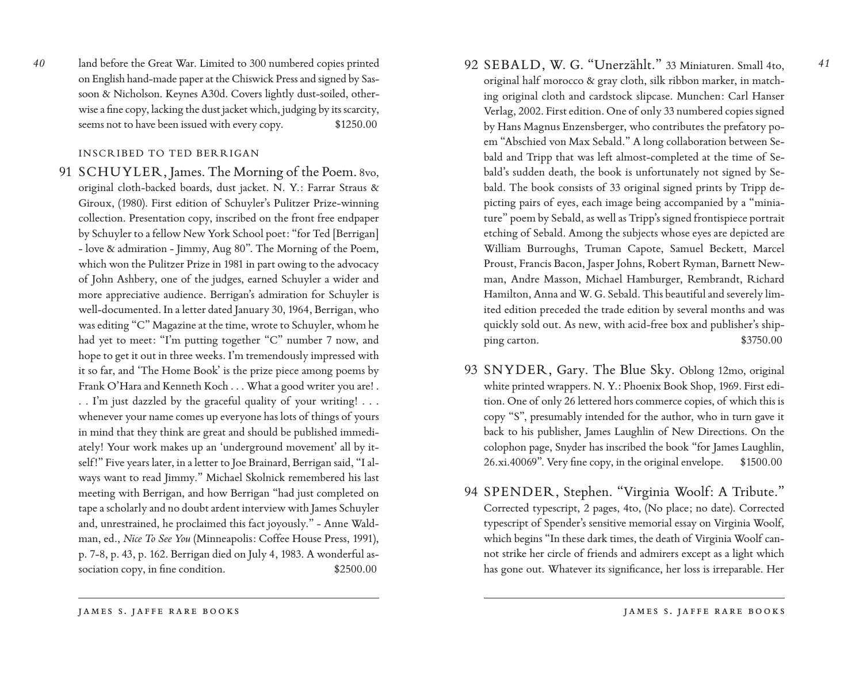- *40*
- land before the Great War. Limited to 300 numbered copies printed on English hand-made paper at the Chiswick Press and signed by Sassoon & Nicholson. Keynes A30d. Covers lightly dust-soiled, otherwise a fine copy, lacking the dust jacket which, judging by its scarcity, seems not to have been issued with every copy.  $$1250.00$

#### INSCRIBED TO TED BERRIGAN

91 SCHUYLER, James. The Morning of the Poem. 8vo, original cloth-backed boards, dust jacket. N. Y.: Farrar Straus & Giroux, (1980). First edition of Schuyler's Pulitzer Prize-winning collection. Presentation copy, inscribed on the front free endpaper by Schuyler to a fellow New York School poet: "for Ted [Berrigan] - love & admiration - Jimmy, Aug 80". The Morning of the Poem, which won the Pulitzer Prize in 1981 in part owing to the advocacy of John Ashbery, one of the judges, earned Schuyler a wider and more appreciative audience. Berrigan's admiration for Schuyler is well-documented. In a letter dated January 30, 1964, Berrigan, who was editing "C" Magazine at the time, wrote to Schuyler, whom he had yet to meet: "I'm putting together "C" number 7 now, and hope to get it out in three weeks. I'm tremendously impressed with it so far, and 'The Home Book' is the prize piece among poems by Frank O'Hara and Kenneth Koch . . . What a good writer you are! . . . I'm just dazzled by the graceful quality of your writing! . . . whenever your name comes up everyone has lots of things of yours in mind that they think are great and should be published immediately! Your work makes up an 'underground movement' all by itself!" Five years later, in a letter to Joe Brainard, Berrigan said, "I always want to read Jimmy." Michael Skolnick remembered his last meeting with Berrigan, and how Berrigan "had just completed on tape a scholarly and no doubt ardent interview with James Schuyler and, unrestrained, he proclaimed this fact joyously." - Anne Waldman, ed., *Nice To See You* (Minneapolis: Coffee House Press, 1991), p. 7-8, p. 43, p. 162. Berrigan died on July 4, 1983. A wonderful association copy, in fine condition.  $$2500.00$ 

- *41*
- 92 SEBALD, W. G. "Unerzählt." 33 Miniaturen. Small 4to, original half morocco & gray cloth, silk ribbon marker, in matching original cloth and cardstock slipcase. Munchen: Carl Hanser Verlag, 2002. First edition. One of only 33 numbered copies signed by Hans Magnus Enzensberger, who contributes the prefatory poem "Abschied von Max Sebald." A long collaboration between Sebald and Tripp that was left almost-completed at the time of Sebald's sudden death, the book is unfortunately not signed by Sebald. The book consists of 33 original signed prints by Tripp depicting pairs of eyes, each image being accompanied by a "miniature" poem by Sebald, as well as Tripp's signed frontispiece portrait etching of Sebald. Among the subjects whose eyes are depicted are William Burroughs, Truman Capote, Samuel Beckett, Marcel Proust, Francis Bacon, Jasper Johns, Robert Ryman, Barnett Newman, Andre Masson, Michael Hamburger, Rembrandt, Richard Hamilton, Anna and W. G. Sebald. This beautiful and severely limited edition preceded the trade edition by several months and was quickly sold out. As new, with acid-free box and publisher's shipping carton. \$3750.00
- 93 SNYDER, Gary. The Blue Sky. Oblong 12mo, original white printed wrappers. N. Y.: Phoenix Book Shop, 1969. First edition. One of only 26 lettered hors commerce copies, of which this is copy "S", presumably intended for the author, who in turn gave it back to his publisher, James Laughlin of New Directions. On the colophon page, Snyder has inscribed the book "for James Laughlin, 26.xi.40069". Very fine copy, in the original envelope. \$1500.00
- 94 SPENDER, Stephen. "Virginia Woolf: A Tribute." Corrected typescript, 2 pages, 4to, (No place; no date). Corrected typescript of Spender's sensitive memorial essay on Virginia Woolf, which begins "In these dark times, the death of Virginia Woolf cannot strike her circle of friends and admirers except as a light which has gone out. Whatever its significance, her loss is irreparable. Her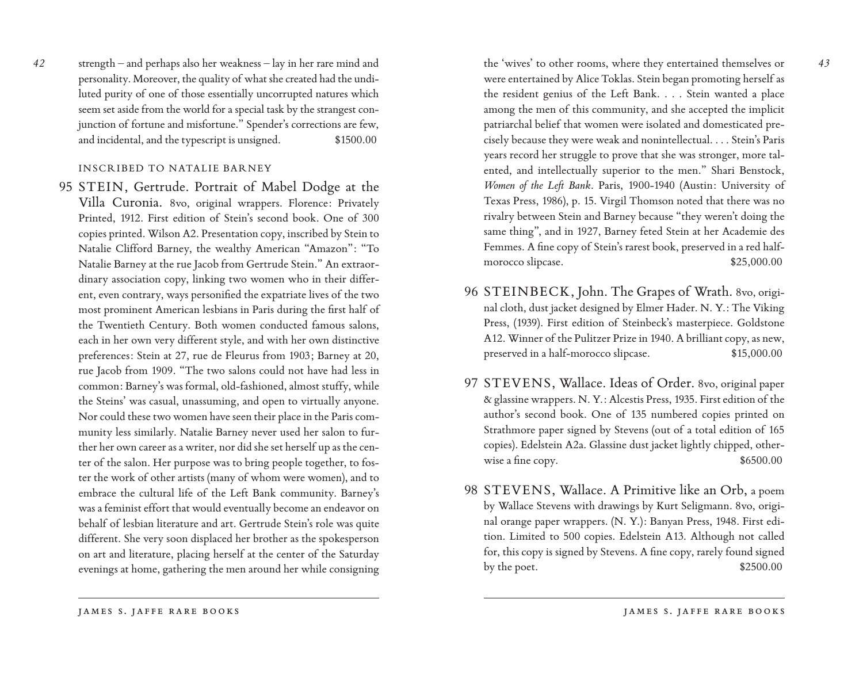*42*

strength – and perhaps also her weakness – lay in her rare mind and personality. Moreover, the quality of what she created had the undiluted purity of one of those essentially uncorrupted natures which seem set aside from the world for a special task by the strangest conjunction of fortune and misfortune." Spender's corrections are few, and incidental, and the typescript is unsigned.  $$1500.00$ 

#### INSCRIBED TO NATALIE BARNEY

95 STEIN, Gertrude. Portrait of Mabel Dodge at the Villa Curonia. 8vo, original wrappers. Florence: Privately Printed, 1912. First edition of Stein's second book. One of 300 copies printed. Wilson A2. Presentation copy, inscribed by Stein to Natalie Clifford Barney, the wealthy American "Amazon": "To Natalie Barney at the rue Jacob from Gertrude Stein." An extraordinary association copy, linking two women who in their different, even contrary, ways personified the expatriate lives of the two most prominent American lesbians in Paris during the first half of the Twentieth Century. Both women conducted famous salons, each in her own very different style, and with her own distinctive preferences: Stein at 27, rue de Fleurus from 1903; Barney at 20, rue Jacob from 1909. "The two salons could not have had less in common: Barney's was formal, old-fashioned, almost stuffy, while the Steins' was casual, unassuming, and open to virtually anyone. Nor could these two women have seen their place in the Paris community less similarly. Natalie Barney never used her salon to further her own career as a writer, nor did she set herself up as the center of the salon. Her purpose was to bring people together, to foster the work of other artists (many of whom were women), and to embrace the cultural life of the Left Bank community. Barney's was a feminist effort that would eventually become an endeavor on behalf of lesbian literature and art. Gertrude Stein's role was quite different. She very soon displaced her brother as the spokesperson on art and literature, placing herself at the center of the Saturday evenings at home, gathering the men around her while consigning

the 'wives' to other rooms, where they entertained themselves or were entertained by Alice Toklas. Stein began promoting herself as the resident genius of the Left Bank. . . . Stein wanted a place among the men of this community, and she accepted the implicit patriarchal belief that women were isolated and domesticated precisely because they were weak and nonintellectual. . . . Stein's Paris years record her struggle to prove that she was stronger, more talented, and intellectually superior to the men." Shari Benstock, *Women of the Left Bank*. Paris, 1900-1940 (Austin: University of Texas Press, 1986), p. 15. Virgil Thomson noted that there was no rivalry between Stein and Barney because "they weren't doing the same thing", and in 1927, Barney feted Stein at her Academie des Femmes. A fine copy of Stein's rarest book, preserved in a red halfmorocco slipcase.  $$25,000.00$ 

- 96 STEINBECK, John. The Grapes of Wrath. 8vo, original cloth, dust jacket designed by Elmer Hader. N. Y.: The Viking Press, (1939). First edition of Steinbeck's masterpiece. Goldstone A12. Winner of the Pulitzer Prize in 1940. A brilliant copy, as new, preserved in a half-morocco slipcase.  $$15,000.00$
- 97 STEVENS, Wallace. Ideas of Order. 8vo, original paper & glassine wrappers. N. Y.: Alcestis Press, 1935. First edition of the author's second book. One of 135 numbered copies printed on Strathmore paper signed by Stevens (out of a total edition of 165 copies). Edelstein A2a. Glassine dust jacket lightly chipped, otherwise a fine copy.  $$6500.00$
- 98 STEVENS, Wallace. A Primitive like an Orb, a poem by Wallace Stevens with drawings by Kurt Seligmann. 8vo, original orange paper wrappers. (N. Y.): Banyan Press, 1948. First edition. Limited to 500 copies. Edelstein A13. Although not called for, this copy is signed by Stevens. A fine copy, rarely found signed by the poet.  $$2500.00$

*43*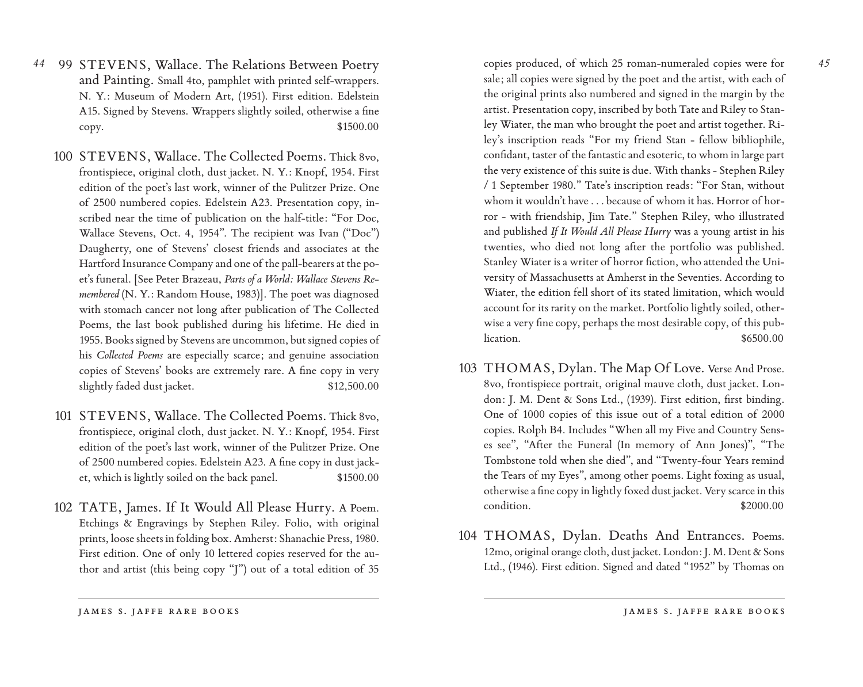- *44* 99 STEVENS, Wallace. The Relations Between Poetry and Painting. Small 4to, pamphlet with printed self-wrappers. N. Y.: Museum of Modern Art, (1951). First edition. Edelstein A15. Signed by Stevens. Wrappers slightly soiled, otherwise a fine copy. \$1500.00
	- 100 STEVENS, Wallace. The Collected Poems. Thick 8vo, frontispiece, original cloth, dust jacket. N. Y.: Knopf, 1954. First edition of the poet's last work, winner of the Pulitzer Prize. One of 2500 numbered copies. Edelstein A23. Presentation copy, inscribed near the time of publication on the half-title: "For Doc, Wallace Stevens, Oct. 4, 1954". The recipient was Ivan ("Doc") Daugherty, one of Stevens' closest friends and associates at the Hartford Insurance Company and one of the pall-bearers at the poet's funeral. [See Peter Brazeau, *Parts of a World: Wallace Stevens Remembered* (N. Y.: Random House, 1983)]. The poet was diagnosed with stomach cancer not long after publication of The Collected Poems, the last book published during his lifetime. He died in 1955. Books signed by Stevens are uncommon, but signed copies of his *Collected Poems* are especially scarce; and genuine association copies of Stevens' books are extremely rare. A fine copy in very slightly faded dust jacket.  $$12,500.00$
	- 101 STEVENS, Wallace. The Collected Poems. Thick 8vo, frontispiece, original cloth, dust jacket. N. Y.: Knopf, 1954. First edition of the poet's last work, winner of the Pulitzer Prize. One of 2500 numbered copies. Edelstein A23. A fine copy in dust jacket, which is lightly soiled on the back panel. \$1500.00
	- 102 TATE, James. If It Would All Please Hurry. A Poem. Etchings & Engravings by Stephen Riley. Folio, with original prints, loose sheets in folding box. Amherst: Shanachie Press, 1980. First edition. One of only 10 lettered copies reserved for the author and artist (this being copy "J") out of a total edition of 35

copies produced, of which 25 roman-numeraled copies were for sale; all copies were signed by the poet and the artist, with each of the original prints also numbered and signed in the margin by the artist. Presentation copy, inscribed by both Tate and Riley to Stanley Wiater, the man who brought the poet and artist together. Riley's inscription reads "For my friend Stan - fellow bibliophile, confidant, taster of the fantastic and esoteric, to whom in large part the very existence of this suite is due. With thanks - Stephen Riley / 1 September 1980." Tate's inscription reads: "For Stan, without whom it wouldn't have . . . because of whom it has. Horror of horror - with friendship, Jim Tate." Stephen Riley, who illustrated and published *If It Would All Please Hurry* was a young artist in his twenties, who died not long after the portfolio was published. Stanley Wiater is a writer of horror fiction, who attended the University of Massachusetts at Amherst in the Seventies. According to Wiater, the edition fell short of its stated limitation, which would account for its rarity on the market. Portfolio lightly soiled, otherwise a very fine copy, perhaps the most desirable copy, of this pub- $\text{lication.}$   $\text{\$6500.00}$ 

- 103 THOMAS, Dylan. The Map Of Love. Verse And Prose. 8vo, frontispiece portrait, original mauve cloth, dust jacket. London: J. M. Dent & Sons Ltd., (1939). First edition, first binding. One of 1000 copies of this issue out of a total edition of 2000 copies. Rolph B4. Includes "When all my Five and Country Senses see", "After the Funeral (In memory of Ann Jones)", "The Tombstone told when she died", and "Twenty-four Years remind the Tears of my Eyes", among other poems. Light foxing as usual, otherwise a fine copy in lightly foxed dust jacket. Very scarce in this condition. \$2000.00
- 104 THOMAS, Dylan. Deaths And Entrances. Poems. 12mo, original orange cloth, dust jacket. London: J. M. Dent & Sons Ltd., (1946). First edition. Signed and dated "1952" by Thomas on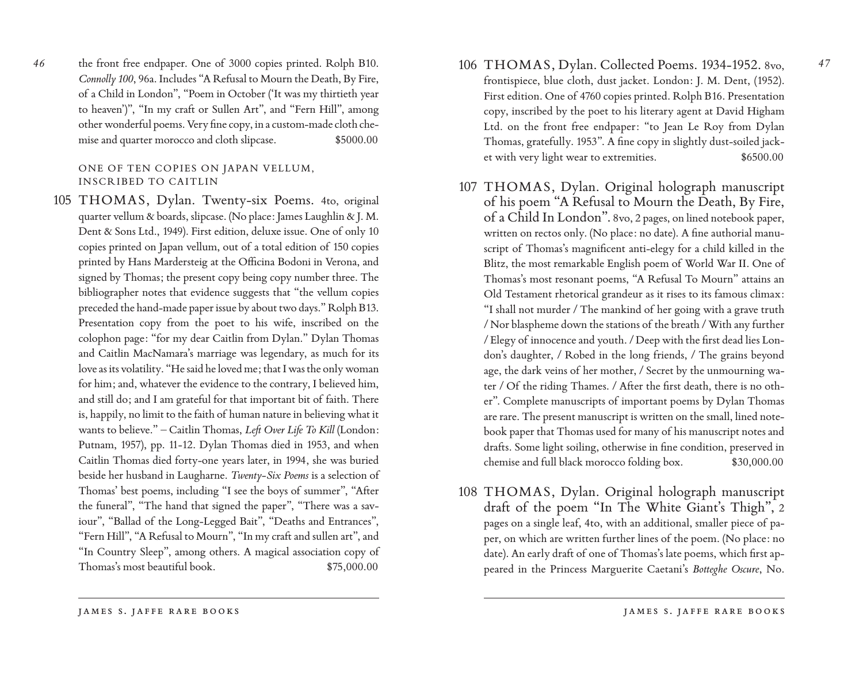the front free endpaper. One of 3000 copies printed. Rolph B10. *Connolly 100*, 96a. Includes "A Refusal to Mourn the Death, By Fire, of a Child in London", "Poem in October ('It was my thirtieth year to heaven')", "In my craft or Sullen Art", and "Fern Hill", among other wonderful poems. Very fine copy, in a custom-made cloth chemise and quarter morocco and cloth slipcase.  $$5000.00$ 

# ONE OF TEN COPIES ON JAPAN VELLUM, INSCRIBED TO CAITLIN

*46*

105 THOMAS, Dylan. Twenty-six Poems. 4to, original quarter vellum & boards, slipcase. (No place: James Laughlin & J. M. Dent & Sons Ltd., 1949). First edition, deluxe issue. One of only 10 copies printed on Japan vellum, out of a total edition of 150 copies printed by Hans Mardersteig at the Officina Bodoni in Verona, and signed by Thomas; the present copy being copy number three. The bibliographer notes that evidence suggests that "the vellum copies preceded the hand-made paper issue by about two days." Rolph B13. Presentation copy from the poet to his wife, inscribed on the colophon page: "for my dear Caitlin from Dylan." Dylan Thomas and Caitlin MacNamara's marriage was legendary, as much for its love as its volatility. "He said he loved me; that I was the only woman for him; and, whatever the evidence to the contrary, I believed him, and still do; and I am grateful for that important bit of faith. There is, happily, no limit to the faith of human nature in believing what it wants to believe." – Caitlin Thomas, *Left Over Life To Kill* (London: Putnam, 1957), pp. 11-12. Dylan Thomas died in 1953, and when Caitlin Thomas died forty-one years later, in 1994, she was buried beside her husband in Laugharne. *Twenty-Six Poems* is a selection of Thomas' best poems, including "I see the boys of summer", "After the funeral", "The hand that signed the paper", "There was a saviour", "Ballad of the Long-Legged Bait", "Deaths and Entrances", "Fern Hill", "A Refusal to Mourn", "In my craft and sullen art", and "In Country Sleep", among others. A magical association copy of Thomas's most beautiful book.  $$75,000.00$ 

- 106 THOMAS, Dylan. Collected Poems. 1934-1952. 8vo, frontispiece, blue cloth, dust jacket. London: J. M. Dent, (1952). First edition. One of 4760 copies printed. Rolph B16. Presentation copy, inscribed by the poet to his literary agent at David Higham Ltd. on the front free endpaper: "to Jean Le Roy from Dylan Thomas, gratefully. 1953". A fine copy in slightly dust-soiled jacket with very light wear to extremities.  $$6500.00$
- 107 THOMAS, Dylan. Original holograph manuscript of his poem "A Refusal to Mourn the Death, By Fire, of a Child In London". 8vo, 2 pages, on lined notebook paper, written on rectos only. (No place: no date). A fine authorial manuscript of Thomas's magnificent anti-elegy for a child killed in the Blitz, the most remarkable English poem of World War II. One of Thomas's most resonant poems, "A Refusal To Mourn" attains an Old Testament rhetorical grandeur as it rises to its famous climax: "I shall not murder / The mankind of her going with a grave truth / Nor blaspheme down the stations of the breath / With any further / Elegy of innocence and youth. / Deep with the first dead lies London's daughter, / Robed in the long friends, / The grains beyond age, the dark veins of her mother, / Secret by the unmourning water / Of the riding Thames. / After the first death, there is no other". Complete manuscripts of important poems by Dylan Thomas are rare. The present manuscript is written on the small, lined notebook paper that Thomas used for many of his manuscript notes and drafts. Some light soiling, otherwise in fine condition, preserved in chemise and full black morocco folding box. \$30,000.00
- 108 THOMAS, Dylan. Original holograph manuscript draft of the poem "In The White Giant's Thigh", 2 pages on a single leaf, 4to, with an additional, smaller piece of paper, on which are written further lines of the poem. (No place: no date). An early draft of one of Thomas's late poems, which first appeared in the Princess Marguerite Caetani's *Botteghe Oscure*, No.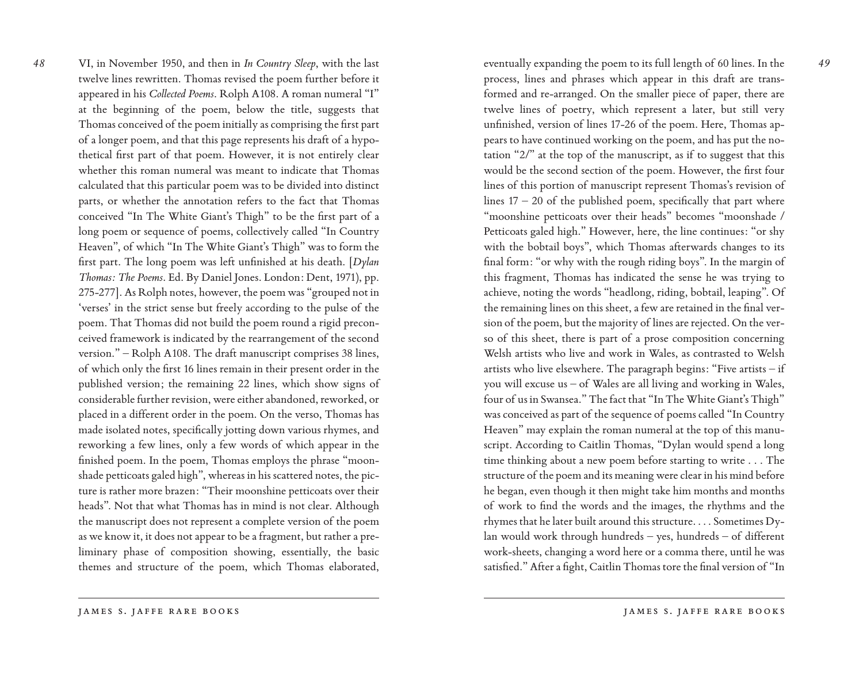VI, in November 1950, and then in *In Country Sleep*, with the last twelve lines rewritten. Thomas revised the poem further before it appeared in his *Collected Poems*. Rolph A108. A roman numeral "I" at the beginning of the poem, below the title, suggests that Thomas conceived of the poem initially as comprising the first part of a longer poem, and that this page represents his draft of a hypothetical first part of that poem. However, it is not entirely clear whether this roman numeral was meant to indicate that Thomas calculated that this particular poem was to be divided into distinct parts, or whether the annotation refers to the fact that Thomas conceived "In The White Giant's Thigh" to be the first part of a long poem or sequence of poems, collectively called "In Country Heaven", of which "In The White Giant's Thigh" was to form the first part. The long poem was left unfinished at his death. [*Dylan Thomas: The Poems*. Ed. By Daniel Jones. London: Dent, 1971), pp. 275-277]. As Rolph notes, however, the poem was "grouped not in 'verses' in the strict sense but freely according to the pulse of the poem. That Thomas did not build the poem round a rigid preconceived framework is indicated by the rearrangement of the second version." – Rolph A108. The draft manuscript comprises 38 lines, of which only the first 16 lines remain in their present order in the published version; the remaining 22 lines, which show signs of considerable further revision, were either abandoned, reworked, or placed in a different order in the poem. On the verso, Thomas has made isolated notes, specifically jotting down various rhymes, and reworking a few lines, only a few words of which appear in the finished poem. In the poem, Thomas employs the phrase "moonshade petticoats galed high", whereas in his scattered notes, the picture is rather more brazen: "Their moonshine petticoats over their heads". Not that what Thomas has in mind is not clear. Although the manuscript does not represent a complete version of the poem as we know it, it does not appear to be a fragment, but rather a preliminary phase of composition showing, essentially, the basic themes and structure of the poem, which Thomas elaborated,

eventually expanding the poem to its full length of 60 lines. In the process, lines and phrases which appear in this draft are transformed and re-arranged. On the smaller piece of paper, there are twelve lines of poetry, which represent a later, but still very unfinished, version of lines 17-26 of the poem. Here, Thomas appears to have continued working on the poem, and has put the notation "2/" at the top of the manuscript, as if to suggest that this would be the second section of the poem. However, the first four lines of this portion of manuscript represent Thomas's revision of lines  $17 - 20$  of the published poem, specifically that part where "moonshine petticoats over their heads" becomes "moonshade / Petticoats galed high." However, here, the line continues: "or shy with the bobtail boys", which Thomas afterwards changes to its final form: "or why with the rough riding boys". In the margin of this fragment, Thomas has indicated the sense he was trying to achieve, noting the words "headlong, riding, bobtail, leaping". Of the remaining lines on this sheet, a few are retained in the final version of the poem, but the majority of lines are rejected. On the verso of this sheet, there is part of a prose composition concerning Welsh artists who live and work in Wales, as contrasted to Welsh artists who live elsewhere. The paragraph begins: "Five artists – if you will excuse us – of Wales are all living and working in Wales, four of us in Swansea." The fact that "In The White Giant's Thigh" was conceived as part of the sequence of poems called "In Country Heaven" may explain the roman numeral at the top of this manuscript. According to Caitlin Thomas, "Dylan would spend a long time thinking about a new poem before starting to write . . . The structure of the poem and its meaning were clear in his mind before he began, even though it then might take him months and months of work to find the words and the images, the rhythms and the rhymes that he later built around this structure. . . . Sometimes Dylan would work through hundreds – yes, hundreds – of different work-sheets, changing a word here or a comma there, until he was satisfied." After a fight, Caitlin Thomas tore the final version of "In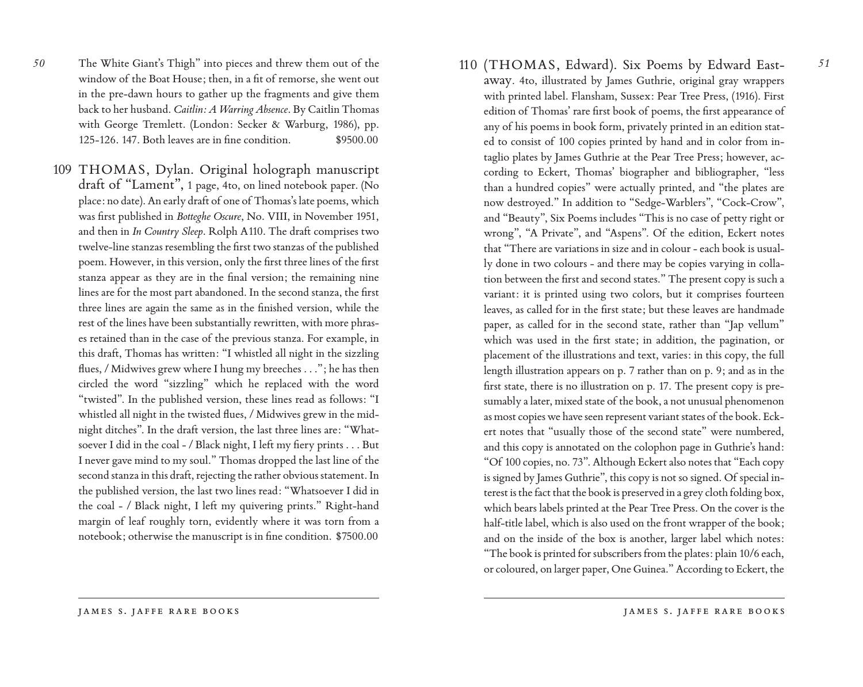- *50* The White Giant's Thigh" into pieces and threw them out of the window of the Boat House; then, in a fit of remorse, she went out in the pre-dawn hours to gather up the fragments and give them back to her husband. *Caitlin: A Warring Absence*. By Caitlin Thomas with George Tremlett. (London: Secker & Warburg, 1986), pp. 125-126. 147. Both leaves are in fine condition.  $$9500.00$ 
	- 109 THOMAS, Dylan. Original holograph manuscript draft of "Lament", 1 page, 4to, on lined notebook paper. (No place: no date). An early draft of one of Thomas's late poems, which was first published in *Botteghe Oscure*, No. VIII, in November 1951, and then in *In Country Sleep*. Rolph A110. The draft comprises two twelve-line stanzas resembling the first two stanzas of the published poem. However, in this version, only the first three lines of the first stanza appear as they are in the final version; the remaining nine lines are for the most part abandoned. In the second stanza, the first three lines are again the same as in the finished version, while the rest of the lines have been substantially rewritten, with more phrases retained than in the case of the previous stanza. For example, in this draft, Thomas has written: "I whistled all night in the sizzling flues, / Midwives grew where I hung my breeches . . ."; he has then circled the word "sizzling" which he replaced with the word "twisted". In the published version, these lines read as follows: "I whistled all night in the twisted flues, / Midwives grew in the midnight ditches". In the draft version, the last three lines are: "Whatsoever I did in the coal - / Black night, I left my fiery prints . . . But I never gave mind to my soul." Thomas dropped the last line of the second stanza in this draft, rejecting the rather obvious statement. In the published version, the last two lines read: "Whatsoever I did in the coal - / Black night, I left my quivering prints." Right-hand margin of leaf roughly torn, evidently where it was torn from a notebook; otherwise the manuscript is in fine condition. \$7500.00

110 (THOMAS, Edward). Six Poems by Edward Eastaway. 4to, illustrated by James Guthrie, original gray wrappers with printed label. Flansham, Sussex: Pear Tree Press, (1916). First edition of Thomas' rare first book of poems, the first appearance of any of his poems in book form, privately printed in an edition stated to consist of 100 copies printed by hand and in color from intaglio plates by James Guthrie at the Pear Tree Press; however, according to Eckert, Thomas' biographer and bibliographer, "less than a hundred copies" were actually printed, and "the plates are now destroyed." In addition to "Sedge-Warblers", "Cock-Crow", and "Beauty", Six Poems includes "This is no case of petty right or wrong", "A Private", and "Aspens". Of the edition, Eckert notes that "There are variations in size and in colour - each book is usually done in two colours - and there may be copies varying in collation between the first and second states." The present copy is such a variant: it is printed using two colors, but it comprises fourteen leaves, as called for in the first state; but these leaves are handmade paper, as called for in the second state, rather than "Jap vellum" which was used in the first state; in addition, the pagination, or placement of the illustrations and text, varies: in this copy, the full length illustration appears on p. 7 rather than on p. 9; and as in the first state, there is no illustration on p. 17. The present copy is presumably a later, mixed state of the book, a not unusual phenomenon as most copies we have seen represent variant states of the book. Eckert notes that "usually those of the second state" were numbered, and this copy is annotated on the colophon page in Guthrie's hand: "Of 100 copies, no. 73". Although Eckert also notes that "Each copy is signed by James Guthrie", this copy is not so signed. Of special interest is the fact that the book is preserved in a grey cloth folding box, which bears labels printed at the Pear Tree Press. On the cover is the half-title label, which is also used on the front wrapper of the book; and on the inside of the box is another, larger label which notes: "The book is printed for subscribers from the plates: plain 10/6 each, or coloured, on larger paper, One Guinea." According to Eckert, the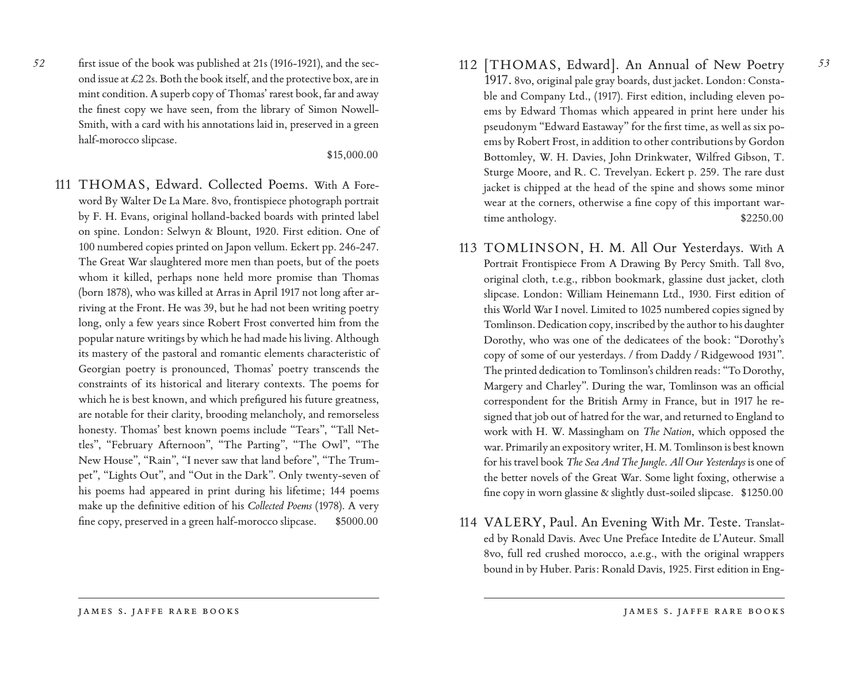first issue of the book was published at 21s (1916-1921), and the second issue at £2 2s. Both the book itself, and the protective box, are in mint condition. A superb copy of Thomas' rarest book, far and away the finest copy we have seen, from the library of Simon Nowell-Smith, with a card with his annotations laid in, preserved in a green half-morocco slipcase.

*52*

\$15,000.00

111 THOMAS, Edward. Collected Poems. With A Foreword By Walter De La Mare. 8vo, frontispiece photograph portrait by F. H. Evans, original holland-backed boards with printed label on spine. London: Selwyn & Blount, 1920. First edition. One of 100 numbered copies printed on Japon vellum. Eckert pp. 246-247. The Great War slaughtered more men than poets, but of the poets whom it killed, perhaps none held more promise than Thomas (born 1878), who was killed at Arras in April 1917 not long after arriving at the Front. He was 39, but he had not been writing poetry long, only a few years since Robert Frost converted him from the popular nature writings by which he had made his living. Although its mastery of the pastoral and romantic elements characteristic of Georgian poetry is pronounced, Thomas' poetry transcends the constraints of its historical and literary contexts. The poems for which he is best known, and which prefigured his future greatness, are notable for their clarity, brooding melancholy, and remorseless honesty. Thomas' best known poems include "Tears", "Tall Nettles", "February Afternoon", "The Parting", "The Owl", "The New House", "Rain", "I never saw that land before", "The Trumpet", "Lights Out", and "Out in the Dark". Only twenty-seven of his poems had appeared in print during his lifetime; 144 poems make up the definitive edition of his *Collected Poems* (1978). A very fine copy, preserved in a green half-morocco slipcase. \$5000.00

- 112 [THOMAS, Edward]. An Annual of New Poetry 1917. 8vo, original pale gray boards, dust jacket. London: Constable and Company Ltd., (1917). First edition, including eleven poems by Edward Thomas which appeared in print here under his pseudonym "Edward Eastaway" for the first time, as well as six poems by Robert Frost, in addition to other contributions by Gordon Bottomley, W. H. Davies, John Drinkwater, Wilfred Gibson, T. Sturge Moore, and R. C. Trevelyan. Eckert p. 259. The rare dust jacket is chipped at the head of the spine and shows some minor wear at the corners, otherwise a fine copy of this important wartime anthology.  $$2250.00$
- 113 TOMLINSON, H. M. All Our Yesterdays. With A Portrait Frontispiece From A Drawing By Percy Smith. Tall 8vo, original cloth, t.e.g., ribbon bookmark, glassine dust jacket, cloth slipcase. London: William Heinemann Ltd., 1930. First edition of this World War I novel. Limited to 1025 numbered copies signed by Tomlinson. Dedication copy, inscribed by the author to his daughter Dorothy, who was one of the dedicatees of the book: "Dorothy's copy of some of our yesterdays. / from Daddy / Ridgewood 1931". The printed dedication to Tomlinson's children reads: "To Dorothy, Margery and Charley". During the war, Tomlinson was an official correspondent for the British Army in France, but in 1917 he resigned that job out of hatred for the war, and returned to England to work with H. W. Massingham on *The Nation*, which opposed the war. Primarily an expository writer, H. M. Tomlinson is best known for his travel book *The Sea And The Jungle*. *All Our Yesterdays* is one of the better novels of the Great War. Some light foxing, otherwise a fine copy in worn glassine & slightly dust-soiled slipcase. \$1250.00
- 114 VALERY, Paul. An Evening With Mr. Teste. Translated by Ronald Davis. Avec Une Preface Intedite de L'Auteur. Small 8vo, full red crushed morocco, a.e.g., with the original wrappers bound in by Huber. Paris: Ronald Davis, 1925. First edition in Eng-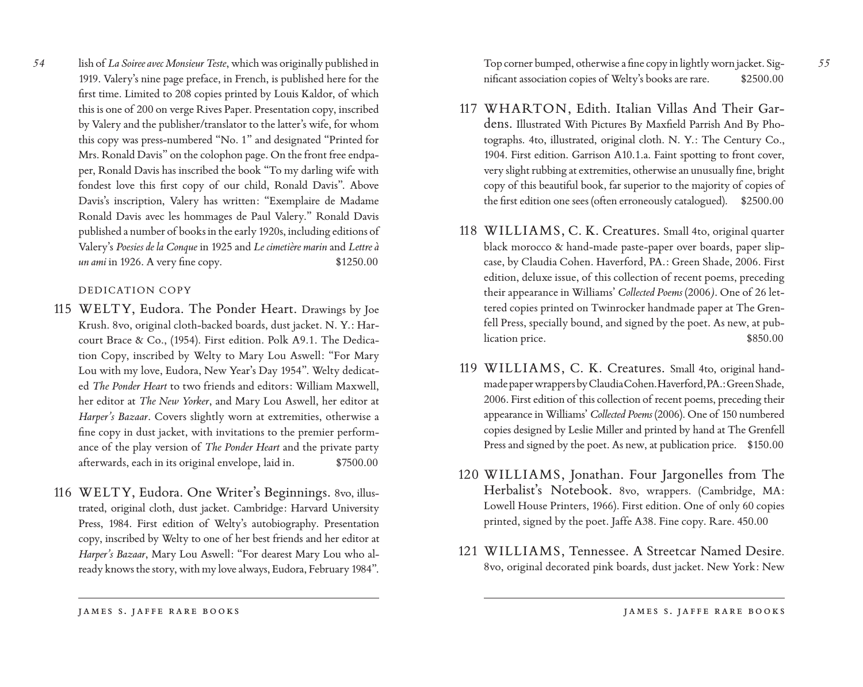lish of *La Soiree avec Monsieur Teste*, which was originally published in 1919. Valery's nine page preface, in French, is published here for the first time. Limited to 208 copies printed by Louis Kaldor, of which this is one of 200 on verge Rives Paper. Presentation copy, inscribed by Valery and the publisher/translator to the latter's wife, for whom this copy was press-numbered "No. 1" and designated "Printed for Mrs. Ronald Davis" on the colophon page. On the front free endpaper, Ronald Davis has inscribed the book "To my darling wife with fondest love this first copy of our child, Ronald Davis". Above Davis's inscription, Valery has written: "Exemplaire de Madame Ronald Davis avec les hommages de Paul Valery." Ronald Davis published a number of books in the early 1920s, including editions of Valery's *Poesies de la Conque* in 1925 and *Le cimetière marin* and *Lettre à un ami* in 1926. A very fine copy.  $$1250.00$ 

#### DEDICATION COPY

- 115 WELTY, Eudora. The Ponder Heart. Drawings by Joe Krush. 8vo, original cloth-backed boards, dust jacket. N. Y.: Harcourt Brace & Co., (1954). First edition. Polk A9.1. The Dedication Copy, inscribed by Welty to Mary Lou Aswell: "For Mary Lou with my love, Eudora, New Year's Day 1954". Welty dedicated *The Ponder Heart* to two friends and editors: William Maxwell, her editor at *The New Yorker*, and Mary Lou Aswell, her editor at *Harper's Bazaar*. Covers slightly worn at extremities, otherwise a fine copy in dust jacket, with invitations to the premier performance of the play version of *The Ponder Heart* and the private party afterwards, each in its original envelope, laid in.  $$7500.00$
- 116 WELTY, Eudora. One Writer's Beginnings. 8vo, illustrated, original cloth, dust jacket. Cambridge: Harvard University Press, 1984. First edition of Welty's autobiography. Presentation copy, inscribed by Welty to one of her best friends and her editor at *Harper's Bazaar*, Mary Lou Aswell: "For dearest Mary Lou who already knows the story, with my love always, Eudora, February 1984".

Top corner bumped, otherwise a fine copy in lightly worn jacket. Significant association copies of Welty's books are rare. \$2500.00

- 117 WHARTON, Edith. Italian Villas And Their Gardens. Illustrated With Pictures By Maxfield Parrish And By Photographs. 4to, illustrated, original cloth. N. Y.: The Century Co., 1904. First edition. Garrison A10.1.a. Faint spotting to front cover, very slight rubbing at extremities, otherwise an unusually fine, bright copy of this beautiful book, far superior to the majority of copies of the first edition one sees (often erroneously catalogued). \$2500.00
- 118 WILLIAMS, C. K. Creatures. Small 4to, original quarter black morocco & hand-made paste-paper over boards, paper slipcase, by Claudia Cohen. Haverford, PA.: Green Shade, 2006. First edition, deluxe issue, of this collection of recent poems, preceding their appearance in Williams' *Collected Poems* (2006*)*. One of 26 lettered copies printed on Twinrocker handmade paper at The Grenfell Press, specially bound, and signed by the poet. As new, at publication price.  $$850.00$
- 119 WILLIAMS, C. K. Creatures. Small 4to, original handmade paper wrappers by ClaudiaCohen.Haverford, PA.: Green Shade, 2006. First edition of this collection of recent poems, preceding their appearance in Williams' *Collected Poems* (2006). One of 150 numbered copies designed by Leslie Miller and printed by hand at The Grenfell Press and signed by the poet. As new, at publication price. \$150.00
- 120 WILLIAMS, Jonathan. Four Jargonelles from The Herbalist's Notebook. 8vo, wrappers. (Cambridge, MA: Lowell House Printers, 1966). First edition. One of only 60 copies printed, signed by the poet. Jaffe A38. Fine copy. Rare. 450.00
- 121 WILLIAMS, Tennessee. A Streetcar Named Desire. 8vo, original decorated pink boards, dust jacket. New York: New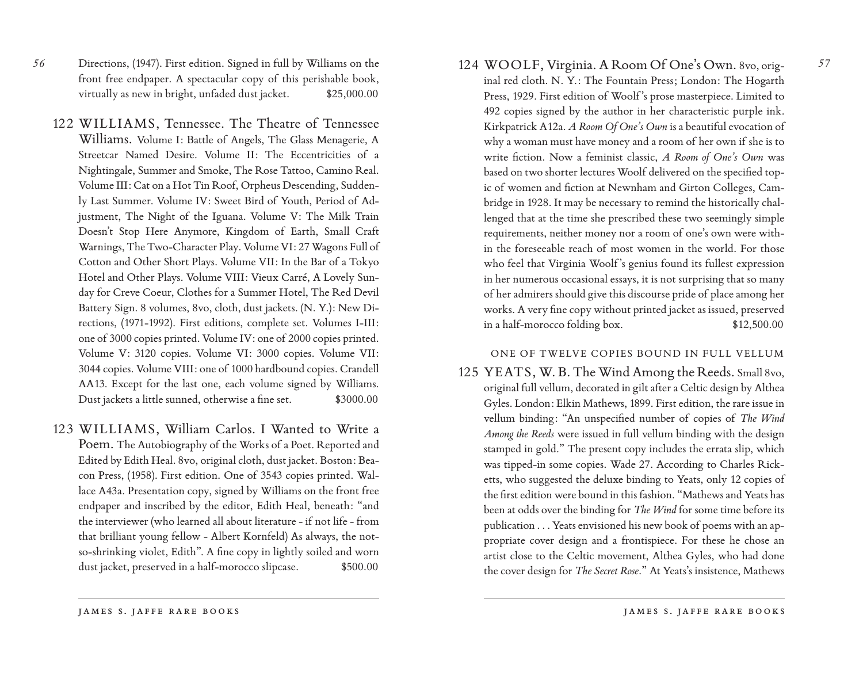- *56* Directions, (1947). First edition. Signed in full by Williams on the front free endpaper. A spectacular copy of this perishable book, virtually as new in bright, unfaded dust jacket. \$25,000.00
	- 122 WILLIAMS, Tennessee. The Theatre of Tennessee Williams. Volume I: Battle of Angels, The Glass Menagerie, A Streetcar Named Desire. Volume II: The Eccentricities of a Nightingale, Summer and Smoke, The Rose Tattoo, Camino Real. Volume III: Cat on a Hot Tin Roof, Orpheus Descending, Suddenly Last Summer. Volume IV: Sweet Bird of Youth, Period of Adjustment, The Night of the Iguana. Volume V: The Milk Train Doesn't Stop Here Anymore, Kingdom of Earth, Small Craft Warnings, The Two-Character Play. Volume VI: 27 Wagons Full of Cotton and Other Short Plays. Volume VII: In the Bar of a Tokyo Hotel and Other Plays. Volume VIII: Vieux Carré, A Lovely Sunday for Creve Coeur, Clothes for a Summer Hotel, The Red Devil Battery Sign. 8 volumes, 8vo, cloth, dust jackets. (N. Y.): New Directions, (1971-1992). First editions, complete set. Volumes I-III: one of 3000 copies printed. Volume IV: one of 2000 copies printed. Volume V: 3120 copies. Volume VI: 3000 copies. Volume VII: 3044 copies. Volume VIII: one of 1000 hardbound copies. Crandell AA13. Except for the last one, each volume signed by Williams. Dust jackets a little sunned, otherwise a fine set. \$3000.00
	- 123 WILLIAMS, William Carlos. I Wanted to Write a Poem. The Autobiography of the Works of a Poet. Reported and Edited by Edith Heal. 8vo, original cloth, dust jacket. Boston: Beacon Press, (1958). First edition. One of 3543 copies printed. Wallace A43a. Presentation copy, signed by Williams on the front free endpaper and inscribed by the editor, Edith Heal, beneath: "and the interviewer (who learned all about literature - if not life - from that brilliant young fellow - Albert Kornfeld) As always, the notso-shrinking violet, Edith". A fine copy in lightly soiled and worn dust jacket, preserved in a half-morocco slipcase.  $$500.00$

124 WOOLF, Virginia. A Room Of One's Own. 8vo, original red cloth. N. Y.: The Fountain Press; London: The Hogarth Press, 1929. First edition of Woolf 's prose masterpiece. Limited to 492 copies signed by the author in her characteristic purple ink. Kirkpatrick A12a. *A Room Of One's Own* is a beautiful evocation of why a woman must have money and a room of her own if she is to write fiction. Now a feminist classic, *A Room of One's Own* was based on two shorter lectures Woolf delivered on the specified topic of women and fiction at Newnham and Girton Colleges, Cambridge in 1928. It may be necessary to remind the historically challenged that at the time she prescribed these two seemingly simple requirements, neither money nor a room of one's own were within the foreseeable reach of most women in the world. For those who feel that Virginia Woolf 's genius found its fullest expression

in her numerous occasional essays, it is not surprising that so many of her admirers should give this discourse pride of place among her works. A very fine copy without printed jacket as issued, preserved in a half-morocco folding box. \$12,500.00

## ONE OF TWELVE COPIES BOUND IN FULL VELLUM

125 YEATS, W. B. The Wind Among the Reeds. Small 8vo, original full vellum, decorated in gilt after a Celtic design by Althea Gyles. London: Elkin Mathews, 1899. First edition, the rare issue in vellum binding: "An unspecified number of copies of *The Wind Among the Reeds* were issued in full vellum binding with the design stamped in gold." The present copy includes the errata slip, which was tipped-in some copies. Wade 27. According to Charles Ricketts, who suggested the deluxe binding to Yeats, only 12 copies of the first edition were bound in this fashion. "Mathews and Yeats has been at odds over the binding for *The Wind* for some time before its publication . . . Yeats envisioned his new book of poems with an appropriate cover design and a frontispiece. For these he chose an artist close to the Celtic movement, Althea Gyles, who had done the cover design for *The Secret Rose*." At Yeats's insistence, Mathews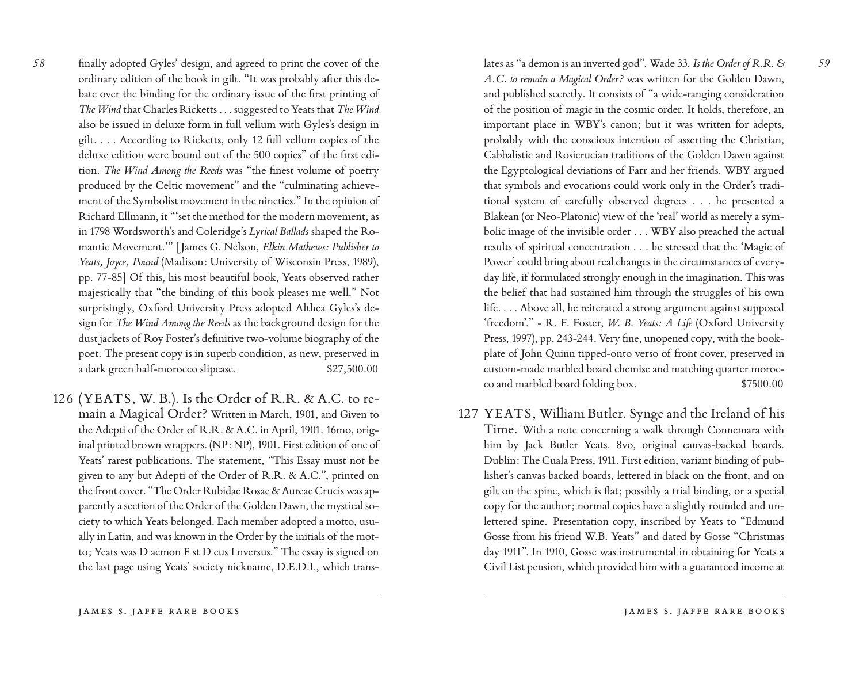finally adopted Gyles' design, and agreed to print the cover of the ordinary edition of the book in gilt. "It was probably after this debate over the binding for the ordinary issue of the first printing of *The Wind* that Charles Ricketts . . . suggested to Yeats that *The Wind* also be issued in deluxe form in full vellum with Gyles's design in gilt. . . . According to Ricketts, only 12 full vellum copies of the deluxe edition were bound out of the 500 copies" of the first edition. *The Wind Among the Reeds* was "the finest volume of poetry produced by the Celtic movement" and the "culminating achievement of the Symbolist movement in the nineties." In the opinion of Richard Ellmann, it "'set the method for the modern movement, as in 1798 Wordsworth's and Coleridge's *Lyrical Ballads* shaped the Romantic Movement.'" [James G. Nelson, *Elkin Mathews: Publisher to Yeats, Joyce, Pound* (Madison: University of Wisconsin Press, 1989), pp. 77-85] Of this, his most beautiful book, Yeats observed rather majestically that "the binding of this book pleases me well." Not surprisingly, Oxford University Press adopted Althea Gyles's design for *The Wind Among the Reeds* as the background design for the dust jackets of Roy Foster's definitive two-volume biography of the poet. The present copy is in superb condition, as new, preserved in a dark green half-morocco slipcase. \$27,500.00

126 (YEATS, W. B.). Is the Order of R.R. & A.C. to remain a Magical Order? Written in March, 1901, and Given to the Adepti of the Order of R.R. & A.C. in April, 1901. 16mo, original printed brown wrappers. (NP: NP), 1901. First edition of one of Yeats' rarest publications. The statement, "This Essay must not be given to any but Adepti of the Order of R.R. & A.C.", printed on the front cover. "The Order Rubidae Rosae & Aureae Crucis was apparently a section of the Order of the Golden Dawn, the mystical society to which Yeats belonged. Each member adopted a motto, usually in Latin, and was known in the Order by the initials of the motto; Yeats was D aemon E st D eus I nversus." The essay is signed on the last page using Yeats' society nickname, D.E.D.I., which translates as "a demon is an inverted god". Wade 33. *Is the Order of R.R. & A.C. to remain a Magical Order?* was written for the Golden Dawn, and published secretly. It consists of "a wide-ranging consideration of the position of magic in the cosmic order. It holds, therefore, an important place in WBY's canon; but it was written for adepts, probably with the conscious intention of asserting the Christian, Cabbalistic and Rosicrucian traditions of the Golden Dawn against the Egyptological deviations of Farr and her friends. WBY argued that symbols and evocations could work only in the Order's traditional system of carefully observed degrees . . . he presented a Blakean (or Neo-Platonic) view of the 'real' world as merely a symbolic image of the invisible order . . . WBY also preached the actual results of spiritual concentration . . . he stressed that the 'Magic of Power' could bring about real changes in the circumstances of everyday life, if formulated strongly enough in the imagination. This was the belief that had sustained him through the struggles of his own life. . . . Above all, he reiterated a strong argument against supposed 'freedom'." - R. F. Foster, *W. B. Yeats: A Life* (Oxford University Press, 1997), pp. 243-244. Very fine, unopened copy, with the bookplate of John Quinn tipped-onto verso of front cover, preserved in custom-made marbled board chemise and matching quarter morocco and marbled board folding box. \$7500.00

127 YEATS, William Butler. Synge and the Ireland of his Time. With a note concerning a walk through Connemara with him by Jack Butler Yeats. 8vo, original canvas-backed boards. Dublin: The Cuala Press, 1911. First edition, variant binding of publisher's canvas backed boards, lettered in black on the front, and on gilt on the spine, which is flat; possibly a trial binding, or a special copy for the author; normal copies have a slightly rounded and unlettered spine. Presentation copy, inscribed by Yeats to "Edmund Gosse from his friend W.B. Yeats" and dated by Gosse "Christmas day 1911". In 1910, Gosse was instrumental in obtaining for Yeats a Civil List pension, which provided him with a guaranteed income at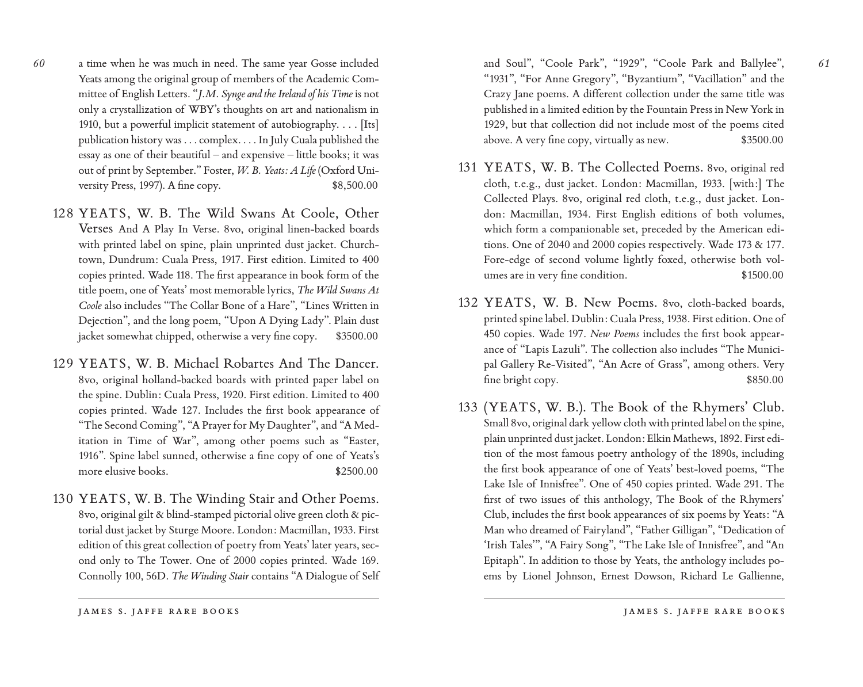a time when he was much in need. The same year Gosse included Yeats among the original group of members of the Academic Committee of English Letters. "*J.M. Synge and the Ireland of his Time* is not only a crystallization of WBY's thoughts on art and nationalism in 1910, but a powerful implicit statement of autobiography. . . . [Its] publication history was . . . complex. . . . In July Cuala published the essay as one of their beautiful – and expensive – little books; it was

*60*

128 YEATS, W. B. The Wild Swans At Coole, Other Verses And A Play In Verse. 8vo, original linen-backed boards with printed label on spine, plain unprinted dust jacket. Churchtown, Dundrum: Cuala Press, 1917. First edition. Limited to 400 copies printed. Wade 118. The first appearance in book form of the title poem, one of Yeats' most memorable lyrics, *The Wild Swans At Coole* also includes "The Collar Bone of a Hare", "Lines Written in Dejection", and the long poem, "Upon A Dying Lady". Plain dust jacket somewhat chipped, otherwise a very fine copy. \$3500.00

out of print by September." Foster, *W. B. Yeats: A Life*(Oxford University Press, 1997). A fine copy.  $$8,500.00$ 

- 129 YEATS, W. B. Michael Robartes And The Dancer. 8vo, original holland-backed boards with printed paper label on the spine. Dublin: Cuala Press, 1920. First edition. Limited to 400 copies printed. Wade 127. Includes the first book appearance of "The Second Coming", "A Prayer for My Daughter", and "A Meditation in Time of War", among other poems such as "Easter, 1916". Spine label sunned, otherwise a fine copy of one of Yeats's more elusive books.  $$2500.00$
- 130 YEATS, W. B. The Winding Stair and Other Poems. 8vo, original gilt & blind-stamped pictorial olive green cloth & pictorial dust jacket by Sturge Moore. London: Macmillan, 1933. First edition of this great collection of poetry from Yeats' later years, second only to The Tower. One of 2000 copies printed. Wade 169. Connolly 100, 56D. *The Winding Stair*contains "A Dialogue of Self

james s. jaffe rare books

and Soul", "Coole Park", "1929", "Coole Park and Ballylee", "1931", "For Anne Gregory", "Byzantium", "Vacillation" and the Crazy Jane poems. A different collection under the same title was published in a limited edition by the Fountain Press in New York in 1929, but that collection did not include most of the poems cited above. A very fine copy, virtually as new.  $$3500.00$ 

- 131 YEATS, W. B. The Collected Poems. 8vo, original red cloth, t.e.g., dust jacket. London: Macmillan, 1933. [with:] The Collected Plays. 8vo, original red cloth, t.e.g., dust jacket. London: Macmillan, 1934. First English editions of both volumes, which form a companionable set, preceded by the American editions. One of 2040 and 2000 copies respectively. Wade 173 & 177. Fore-edge of second volume lightly foxed, otherwise both volumes are in very fine condition.  $$1500.00$
- 132 YEATS, W. B. New Poems. 8vo, cloth-backed boards, printed spine label. Dublin: Cuala Press, 1938. First edition. One of 450 copies. Wade 197. *New Poems* includes the first book appearance of "Lapis Lazuli". The collection also includes "The Municipal Gallery Re-Visited", "An Acre of Grass", among others. Very fine bright copy.  $$850.00$
- 133 (YEATS, W. B.). The Book of the Rhymers' Club. Small 8vo, original dark yellow cloth with printed label on the spine, plain unprinted dust jacket. London: Elkin Mathews, 1892. First edition of the most famous poetry anthology of the 1890s, including the first book appearance of one of Yeats' best-loved poems, "The Lake Isle of Innisfree". One of 450 copies printed. Wade 291. The first of two issues of this anthology, The Book of the Rhymers' Club, includes the first book appearances of six poems by Yeats: "A Man who dreamed of Fairyland", "Father Gilligan", "Dedication of 'Irish Tales'", "A Fairy Song", "The Lake Isle of Innisfree", and "An Epitaph". In addition to those by Yeats, the anthology includes poems by Lionel Johnson, Ernest Dowson, Richard Le Gallienne,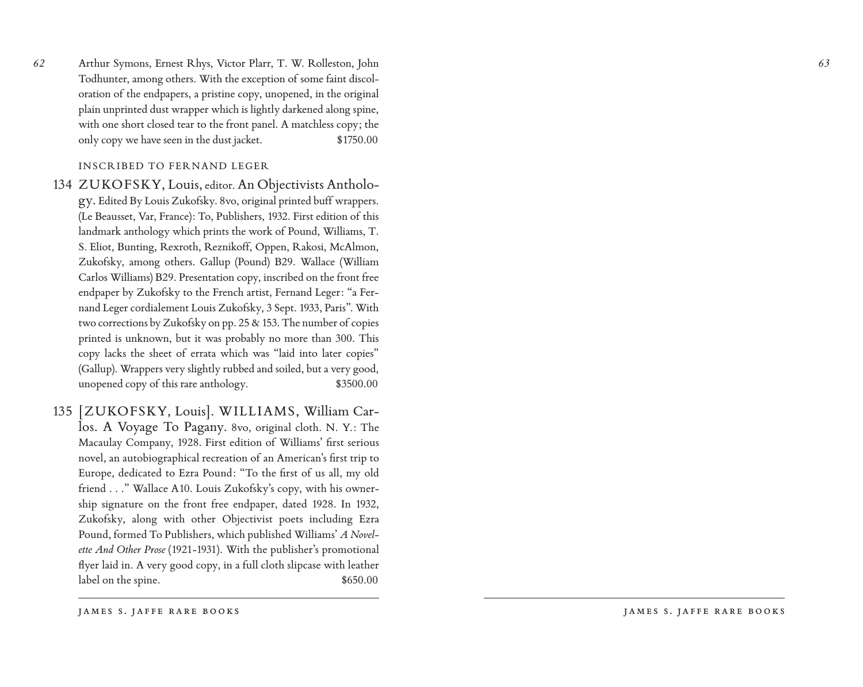Arthur Symons, Ernest Rhys, Victor Plarr, T. W. Rolleston, John Todhunter, among others. With the exception of some faint discoloration of the endpapers, a pristine copy, unopened, in the original plain unprinted dust wrapper which is lightly darkened along spine, with one short closed tear to the front panel. A matchless copy; the only copy we have seen in the dust jacket.  $$1750.00$ 

## INSCRIBED TO FERNAND LEGER

*62*

- 134 ZUKOFSKY, Louis, editor. An Objectivists Anthology. Edited By Louis Zukofsky. 8vo, original printed buff wrappers. (Le Beausset, Var, France): To, Publishers, 1932. First edition of this landmark anthology which prints the work of Pound, Williams, T. S. Eliot, Bunting, Rexroth, Reznikoff, Oppen, Rakosi, McAlmon, Zukofsky, among others. Gallup (Pound) B29. Wallace (William Carlos Williams) B29. Presentation copy, inscribed on the front free endpaper by Zukofsky to the French artist, Fernand Leger: "a Fernand Leger cordialement Louis Zukofsky, 3 Sept. 1933, Paris". With two corrections by Zukofsky on pp. 25 & 153. The number of copies printed is unknown, but it was probably no more than 300. This copy lacks the sheet of err ata which was "laid into later copies" (Gallup). Wrappers very slightly rubbed and soiled, but a very good, unopened copy of this rare anthology.  $$3500.00$
- 1 3 5 [ZUKOFSKY, Louis]. WILLIAMS, William Carlos. A Voyage To Pagany. 8vo, original cloth. N. Y.: The Macaulay Company, 1 928. First edition of Williams' first serious no vel, an autobiographical recreation of an American's first trip to Europe, dedicated to Ezra Pound: "To the first of us all, my old friend . . ." Wallace A10. Louis Zukofsky's copy, with his ownership signature on the front free endpaper, dated 1928. In 1932, Zukofsky, along with other Objectivist poets including Ezra Pound, formed To Publishers, which published Williams' *A Novelette And Other Prose* (1921-1931). With the publisher's promotional flyer laid in. A very good copy, in a full cloth slipcase with leather label on the spine.  $$650.00$